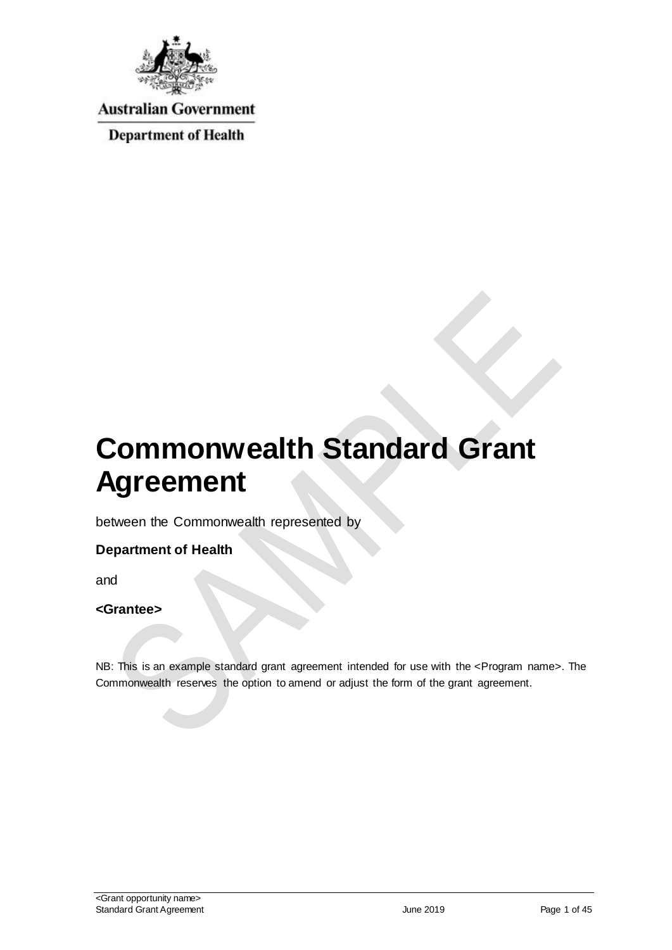

**Australian Government** 

**Department of Health** 

# **Commonwealth Standard Grant Agreement**

between the Commonwealth represented by

#### **Department of Health**

and

#### **<Grantee>**

NB: This is an example standard grant agreement intended for use with the <Program name>. The Commonwealth reserves the option to amend or adjust the form of the grant agreement.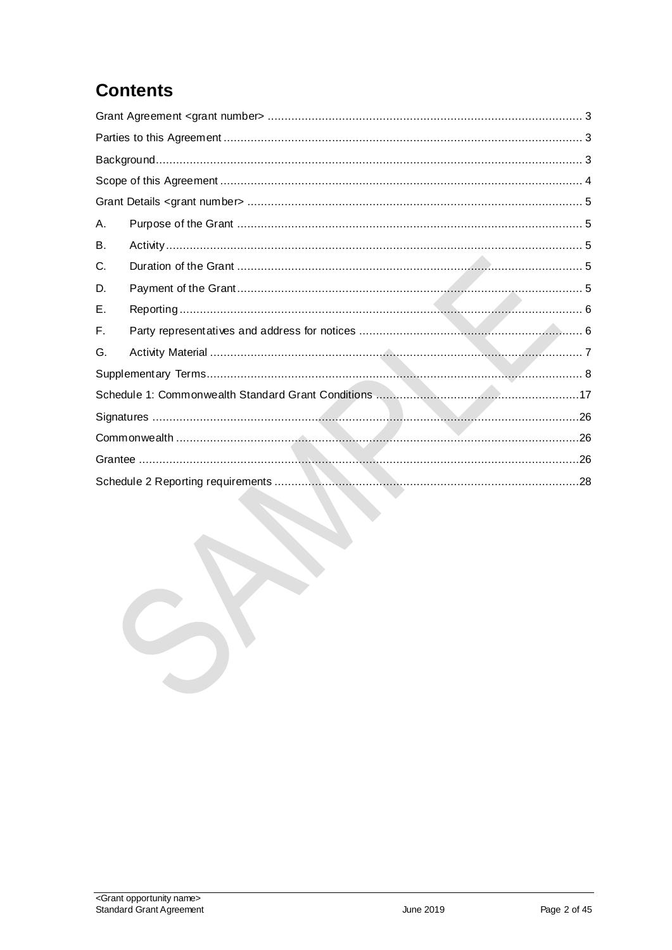# **Contents**

| Α. |  |
|----|--|
| В. |  |
| C. |  |
| D. |  |
| Ε. |  |
| F. |  |
| G. |  |
|    |  |
|    |  |
|    |  |
|    |  |
|    |  |
|    |  |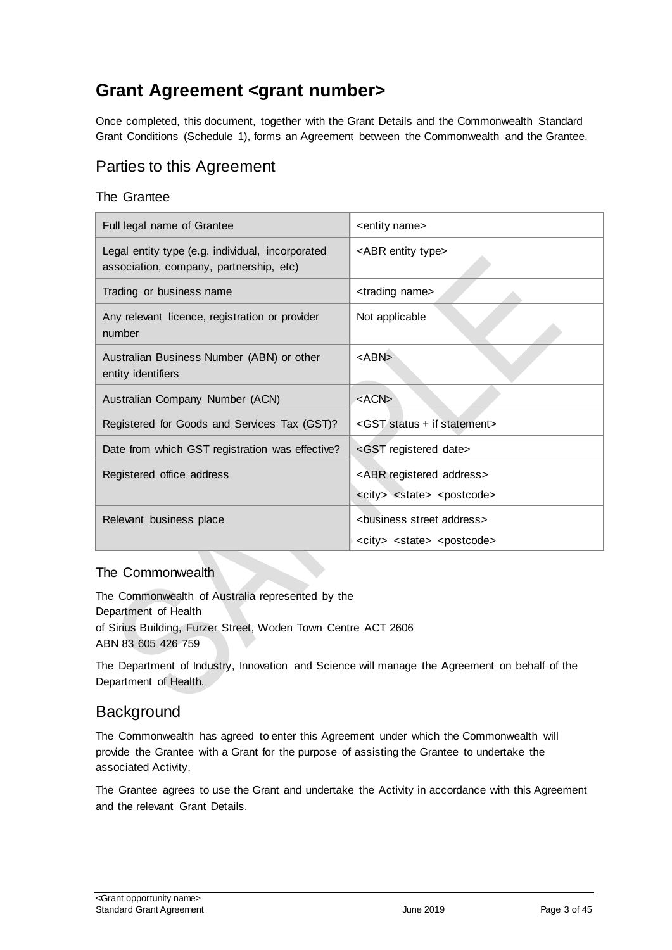# <span id="page-2-0"></span>**Grant Agreement <grant number>**

Once completed, this document, together with the Grant Details and the Commonwealth Standard Grant Conditions (Schedule 1), forms an Agreement between the Commonwealth and the Grantee.

# <span id="page-2-1"></span>Parties to this Agreement

#### The Grantee

| Full legal name of Grantee                                                                  | <entity name=""></entity>                           |
|---------------------------------------------------------------------------------------------|-----------------------------------------------------|
| Legal entity type (e.g. individual, incorporated<br>association, company, partnership, etc) | <abr entity="" type=""></abr>                       |
| Trading or business name                                                                    | <trading name=""></trading>                         |
| Any relevant licence, registration or provider<br>number                                    | Not applicable                                      |
| Australian Business Number (ABN) or other<br>entity identifiers                             | <abn></abn>                                         |
| Australian Company Number (ACN)                                                             | $<$ ACN $>$                                         |
| Registered for Goods and Services Tax (GST)?                                                | <gst +="" if="" statement="" status=""></gst>       |
| Date from which GST registration was effective?                                             | <gst date="" registered=""></gst>                   |
| Registered office address                                                                   | <abr address="" registered=""></abr>                |
|                                                                                             | <city> <state> <postcode></postcode></state></city> |
| Relevant business place                                                                     | <business address="" street=""></business>          |
|                                                                                             | <city> <state> <postcode></postcode></state></city> |

#### The Commonwealth

The Commonwealth of Australia represented by the Department of Health of Sirius Building, Furzer Street, Woden Town Centre ACT 2606 ABN 83 605 426 759

The Department of Industry, Innovation and Science will manage the Agreement on behalf of the Department of Health.

### <span id="page-2-2"></span>**Background**

The Commonwealth has agreed to enter this Agreement under which the Commonwealth will provide the Grantee with a Grant for the purpose of assisting the Grantee to undertake the associated Activity.

The Grantee agrees to use the Grant and undertake the Activity in accordance with this Agreement and the relevant Grant Details.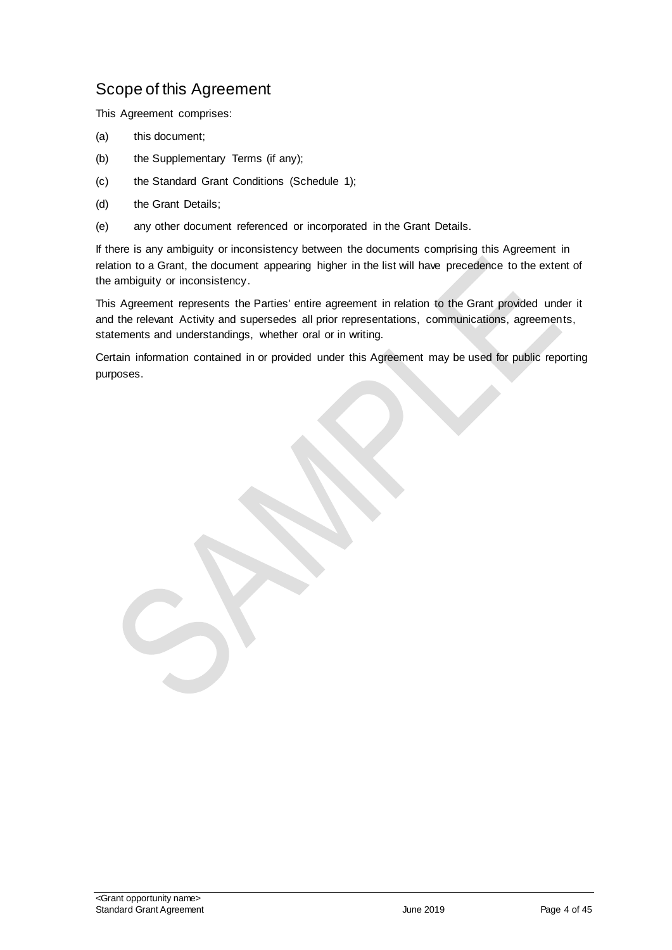# <span id="page-3-0"></span>Scope of this Agreement

This Agreement comprises:

- (a) this document;
- (b) the Supplementary Terms (if any);
- (c) the Standard Grant Conditions (Schedule 1);
- (d) the Grant Details;
- (e) any other document referenced or incorporated in the Grant Details.

If there is any ambiguity or inconsistency between the documents comprising this Agreement in relation to a Grant, the document appearing higher in the list will have precedence to the extent of the ambiguity or inconsistency.

This Agreement represents the Parties' entire agreement in relation to the Grant provided under it and the relevant Activity and supersedes all prior representations, communications, agreements, statements and understandings, whether oral or in writing.

Certain information contained in or provided under this Agreement may be used for public reporting purposes.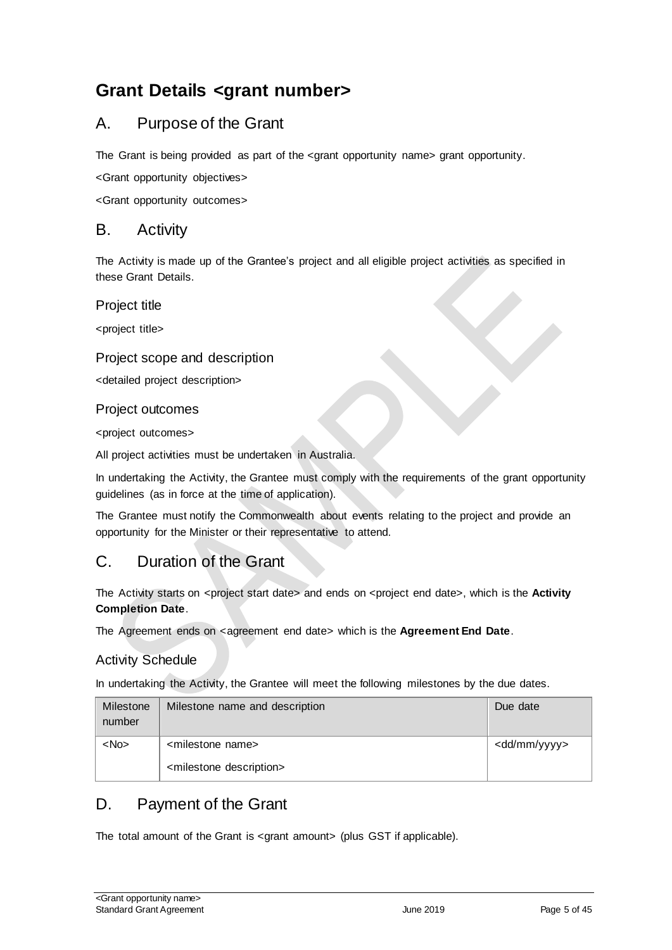# <span id="page-4-0"></span>**Grant Details <grant number>**

# <span id="page-4-1"></span>A. Purpose of the Grant

The Grant is being provided as part of the <grant opportunity name> grant opportunity.

<Grant opportunity objectives>

<Grant opportunity outcomes>

#### <span id="page-4-2"></span>B. Activity

The Activity is made up of the Grantee's project and all eligible project activities as specified in these Grant Details.

Project title

<project title>

#### Project scope and description

<detailed project description>

#### Project outcomes

<project outcomes>

All project activities must be undertaken in Australia.

In undertaking the Activity, the Grantee must comply with the requirements of the grant opportunity guidelines (as in force at the time of application).

The Grantee must notify the Commonwealth about events relating to the project and provide an opportunity for the Minister or their representative to attend.

# <span id="page-4-3"></span>C. Duration of the Grant

The Activity starts on <project start date> and ends on <project end date>, which is the **Activity Completion Date**.

The Agreement ends on <agreement end date> which is the Agreement End Date.

#### Activity Schedule

In undertaking the Activity, the Grantee will meet the following milestones by the due dates.

| Milestone<br>number | Milestone name and description         | Due date                |
|---------------------|----------------------------------------|-------------------------|
| $<$ No $>$          | <milestone name=""></milestone>        | <dd mm="" yyyy=""></dd> |
|                     | <milestone description=""></milestone> |                         |

# <span id="page-4-4"></span>D. Payment of the Grant

The total amount of the Grant is <grant amount> (plus GST if applicable).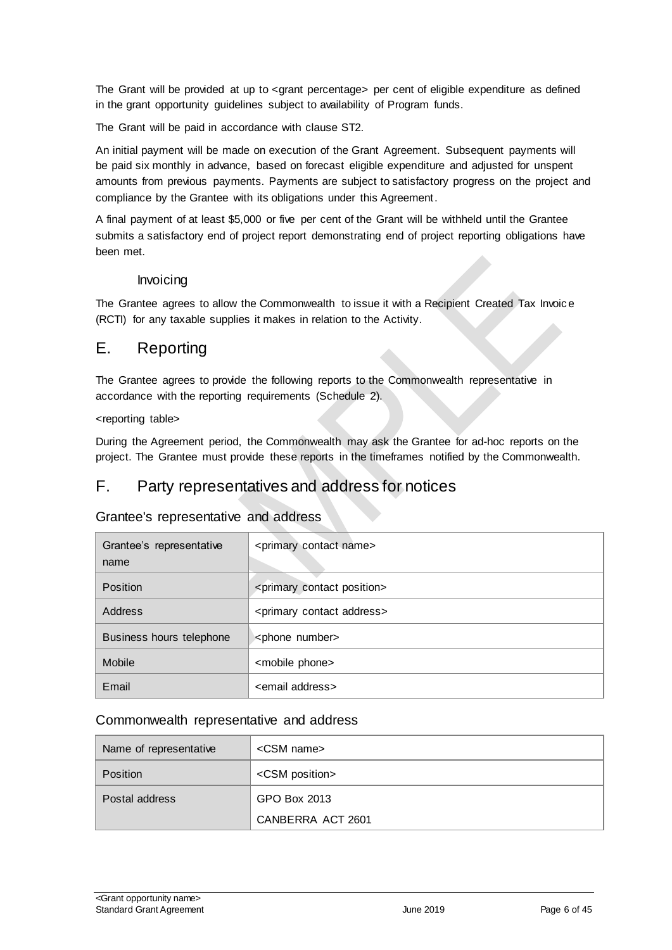The Grant will be provided at up to <grant percentage> per cent of eligible expenditure as defined in the grant opportunity guidelines subject to availability of Program funds.

The Grant will be paid in accordance with clause [ST2.](#page-7-1)

An initial payment will be made on execution of the Grant Agreement. Subsequent payments will be paid six monthly in advance, based on forecast eligible expenditure and adjusted for unspent amounts from previous payments. Payments are subject to satisfactory progress on the project and compliance by the Grantee with its obligations under this Agreement.

A final payment of at least \$5,000 or five per cent of the Grant will be withheld until the Grantee submits a satisfactory end of project report demonstrating end of project reporting obligations have been met.

#### Invoicing

The Grantee agrees to allow the Commonwealth to issue it with a Recipient Created Tax Invoic e (RCTI) for any taxable supplies it makes in relation to the Activity.

### <span id="page-5-0"></span>E. Reporting

The Grantee agrees to provide the following reports to the Commonwealth representative in accordance with the reporting requirements (Schedule 2).

#### <reporting table>

During the Agreement period, the Commonwealth may ask the Grantee for ad-hoc reports on the project. The Grantee must provide these reports in the timeframes notified by the Commonwealth.

### <span id="page-5-1"></span>F. Party representatives and address for notices

#### Grantee's representative and address

| Grantee's representative<br>name | <primary contact="" name=""></primary>     |  |  |
|----------------------------------|--------------------------------------------|--|--|
| <b>Position</b>                  | <primary contact="" position=""></primary> |  |  |
| Address                          | <primary address="" contact=""></primary>  |  |  |
| Business hours telephone         | <phone number=""></phone>                  |  |  |
| Mobile                           | <mobile phone=""></mobile>                 |  |  |
| Email                            | <email address=""></email>                 |  |  |

#### Commonwealth representative and address

| Name of representative | <csm name=""></csm>     |  |  |
|------------------------|-------------------------|--|--|
| <b>Position</b>        | <csm position=""></csm> |  |  |
| Postal address         | GPO Box 2013            |  |  |
|                        | CANBERRA ACT 2601       |  |  |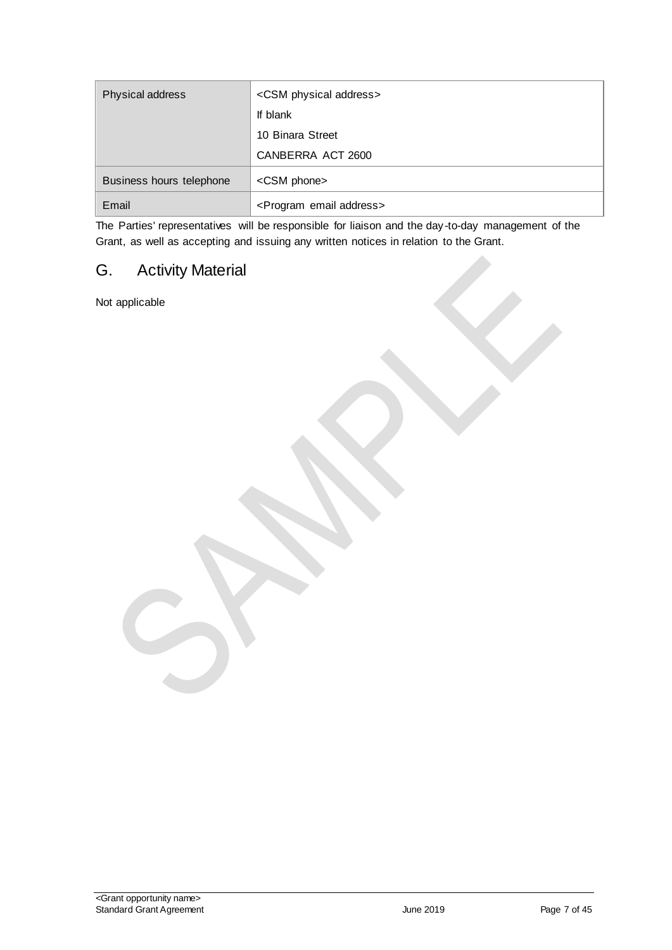| Physical address         | <csm address="" physical=""></csm>      |  |
|--------------------------|-----------------------------------------|--|
|                          | If blank                                |  |
|                          | 10 Binara Street                        |  |
|                          | CANBERRA ACT 2600                       |  |
| Business hours telephone | <csm phone=""></csm>                    |  |
| Email                    | <program address="" email=""></program> |  |

The Parties' representatives will be responsible for liaison and the day-to-day management of the Grant, as well as accepting and issuing any written notices in relation to the Grant.

# <span id="page-6-0"></span>G. Activity Material

Not applicable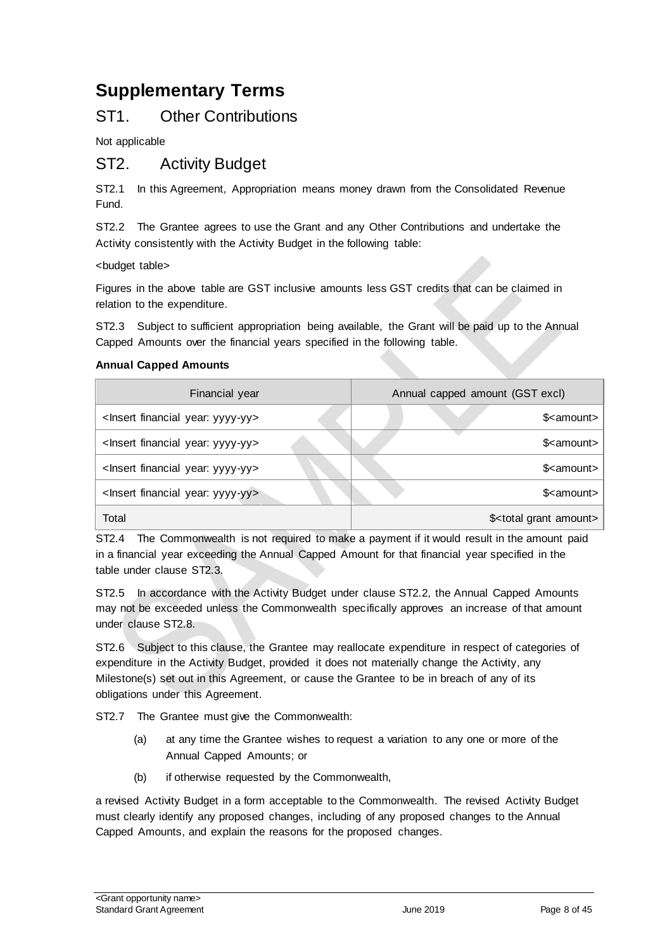# <span id="page-7-0"></span>**Supplementary Terms**

## ST1. Other Contributions

Not applicable

## <span id="page-7-1"></span>ST2. Activity Budget

ST2.1 In this Agreement, Appropriation means money drawn from the Consolidated Revenue Fund.

ST2.2 The Grantee agrees to use the Grant and any Other Contributions and undertake the Activity consistently with the Activity Budget in the following table:

<budget table>

Figures in the above table are GST inclusive amounts less GST credits that can be claimed in relation to the expenditure.

ST2.3 Subject to sufficient appropriation being available, the Grant will be paid up to the Annual Capped Amounts over the financial years specified in the following table.

#### **Annual Capped Amounts**

| Financial year                                     | Annual capped amount (GST excl)       |  |  |
|----------------------------------------------------|---------------------------------------|--|--|
| <lnsert financial="" year:="" yyyy-yy=""></lnsert> | \$ <amount></amount>                  |  |  |
| <lnsert financial="" year:="" yyyy-yy=""></lnsert> | \$ <amount></amount>                  |  |  |
| <lnsert financial="" year:="" yyyy-yy=""></lnsert> | \$ <amount></amount>                  |  |  |
| <lnsert financial="" year:="" yyyy-yy=""></lnsert> | \$ <amount></amount>                  |  |  |
| Total                                              | \$ <total amount="" grant=""></total> |  |  |

ST2.4 The Commonwealth is not required to make a payment if it would result in the amount paid in a financial year exceeding the Annual Capped Amount for that financial year specified in the table under clause ST2.3.

ST2.5 In accordance with the Activity Budget under clause ST2.2, the Annual Capped Amounts may not be exceeded unless the Commonwealth specifically approves an increase of that amount under clause ST2.8.

ST2.6 Subject to this clause, the Grantee may reallocate expenditure in respect of categories of expenditure in the Activity Budget, provided it does not materially change the Activity, any Milestone(s) set out in this Agreement, or cause the Grantee to be in breach of any of its obligations under this Agreement.

ST2.7 The Grantee must give the Commonwealth:

- (a) at any time the Grantee wishes to request a variation to any one or more of the Annual Capped Amounts; or
- (b) if otherwise requested by the Commonwealth,

a revised Activity Budget in a form acceptable to the Commonwealth. The revised Activity Budget must clearly identify any proposed changes, including of any proposed changes to the Annual Capped Amounts, and explain the reasons for the proposed changes.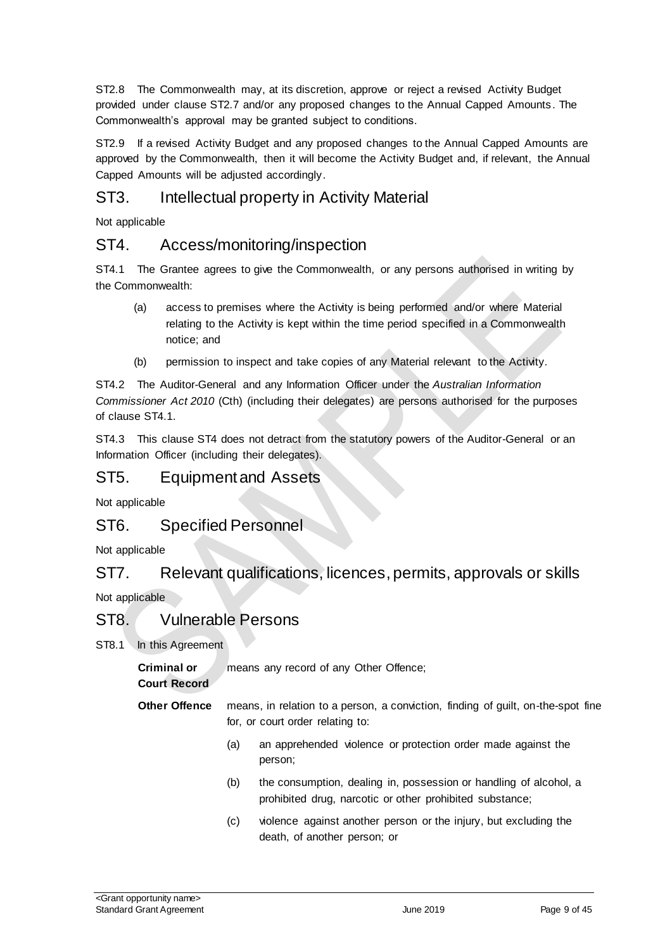ST2.8 The Commonwealth may, at its discretion, approve or reject a revised Activity Budget provided under clause ST2.7 and/or any proposed changes to the Annual Capped Amounts. The Commonwealth's approval may be granted subject to conditions.

ST2.9 If a revised Activity Budget and any proposed changes to the Annual Capped Amounts are approved by the Commonwealth, then it will become the Activity Budget and, if relevant, the Annual Capped Amounts will be adjusted accordingly.

# ST3. Intellectual property in Activity Material

Not applicable

### ST4. Access/monitoring/inspection

ST4.1 The Grantee agrees to give the Commonwealth, or any persons authorised in writing by the Commonwealth:

- (a) access to premises where the Activity is being performed and/or where Material relating to the Activity is kept within the time period specified in a Commonwealth notice; and
- (b) permission to inspect and take copies of any Material relevant to the Activity.

ST4.2 The Auditor-General and any Information Officer under the *Australian Information Commissioner Act 2010* (Cth) (including their delegates) are persons authorised for the purposes of clause ST4.1.

ST4.3 This clause ST4 does not detract from the statutory powers of the Auditor-General or an Information Officer (including their delegates).

#### ST5. Equipment and Assets

Not applicable

### ST6. Specified Personnel

Not applicable

#### ST7. Relevant qualifications, licences, permits, approvals or skills

Not applicable

### ST8. Vulnerable Persons

ST8.1 In this Agreement

**Criminal or**  means any record of any Other Offence;

#### **Court Record**

- **Other Offence** means, in relation to a person, a conviction, finding of guilt, on-the-spot fine for, or court order relating to:
	- (a) an apprehended violence or protection order made against the person;
	- (b) the consumption, dealing in, possession or handling of alcohol, a prohibited drug, narcotic or other prohibited substance;
	- (c) violence against another person or the injury, but excluding the death, of another person; or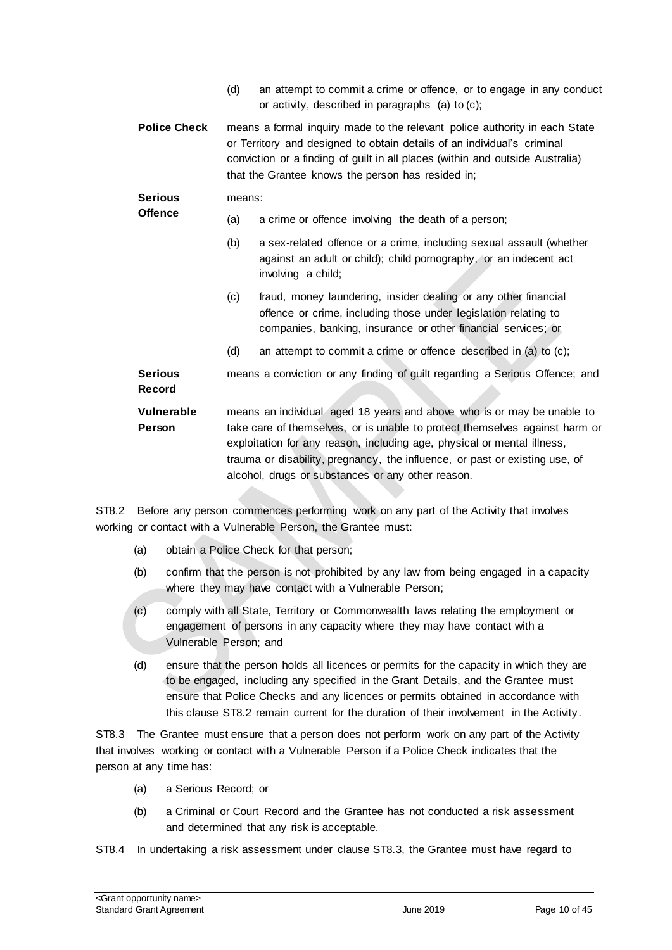- (d) an attempt to commit a crime or offence, or to engage in any conduct or activity, described in paragraphs (a) to (c);
- **Police Check** means a formal inquiry made to the relevant police authority in each State or Territory and designed to obtain details of an individual's criminal conviction or a finding of guilt in all places (within and outside Australia) that the Grantee knows the person has resided in;

#### **Serious**  means:

**Offence**

- (a) a crime or offence involving the death of a person;
	- (b) a sex-related offence or a crime, including sexual assault (whether against an adult or child); child pornography, or an indecent act involving a child;
	- (c) fraud, money laundering, insider dealing or any other financial offence or crime, including those under legislation relating to companies, banking, insurance or other financial services; or
	- (d) an attempt to commit a crime or offence described in (a) to (c);

**Serious Record** means a conviction or any finding of guilt regarding a Serious Offence; and

**Vulnerable Person** means an individual aged 18 years and above who is or may be unable to take care of themselves, or is unable to protect themselves against harm or exploitation for any reason, including age, physical or mental illness, trauma or disability, pregnancy, the influence, or past or existing use, of alcohol, drugs or substances or any other reason.

ST8.2 Before any person commences performing work on any part of the Activity that involves working or contact with a Vulnerable Person, the Grantee must:

- (a) obtain a Police Check for that person;
- (b) confirm that the person is not prohibited by any law from being engaged in a capacity where they may have contact with a Vulnerable Person;
- (c) comply with all State, Territory or Commonwealth laws relating the employment or engagement of persons in any capacity where they may have contact with a Vulnerable Person; and
- (d) ensure that the person holds all licences or permits for the capacity in which they are to be engaged, including any specified in the Grant Details, and the Grantee must ensure that Police Checks and any licences or permits obtained in accordance with this clause ST8.2 remain current for the duration of their involvement in the Activity.

ST8.3 The Grantee must ensure that a person does not perform work on any part of the Activity that involves working or contact with a Vulnerable Person if a Police Check indicates that the person at any time has:

- (a) a Serious Record; or
- (b) a Criminal or Court Record and the Grantee has not conducted a risk assessment and determined that any risk is acceptable.

ST8.4 In undertaking a risk assessment under clause ST8.3, the Grantee must have regard to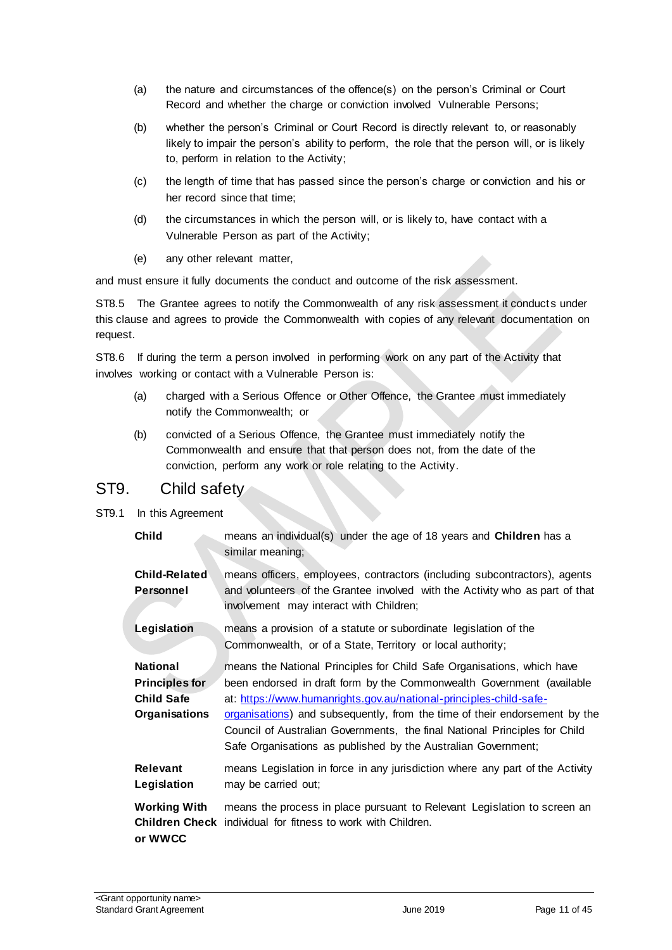- (a) the nature and circumstances of the offence(s) on the person's Criminal or Court Record and whether the charge or conviction involved Vulnerable Persons;
- (b) whether the person's Criminal or Court Record is directly relevant to, or reasonably likely to impair the person's ability to perform, the role that the person will, or is likely to, perform in relation to the Activity;
- (c) the length of time that has passed since the person's charge or conviction and his or her record since that time;
- (d) the circumstances in which the person will, or is likely to, have contact with a Vulnerable Person as part of the Activity;
- (e) any other relevant matter,

and must ensure it fully documents the conduct and outcome of the risk assessment.

ST8.5 The Grantee agrees to notify the Commonwealth of any risk assessment it conducts under this clause and agrees to provide the Commonwealth with copies of any relevant documentation on request.

ST8.6 If during the term a person involved in performing work on any part of the Activity that involves working or contact with a Vulnerable Person is:

- (a) charged with a Serious Offence or Other Offence, the Grantee must immediately notify the Commonwealth; or
- (b) convicted of a Serious Offence, the Grantee must immediately notify the Commonwealth and ensure that that person does not, from the date of the conviction, perform any work or role relating to the Activity.

#### ST9. Child safety

ST9.1 In this Agreement

| <b>Child</b>                                                                          | means an individual(s) under the age of 18 years and <b>Children</b> has a<br>similar meaning;                                                                                                                                                                                                                                                                                                                                                     |
|---------------------------------------------------------------------------------------|----------------------------------------------------------------------------------------------------------------------------------------------------------------------------------------------------------------------------------------------------------------------------------------------------------------------------------------------------------------------------------------------------------------------------------------------------|
| <b>Child-Related</b><br>Personnel                                                     | means officers, employees, contractors (including subcontractors), agents<br>and volunteers of the Grantee involved with the Activity who as part of that<br>involvement may interact with Children;                                                                                                                                                                                                                                               |
| Legislation                                                                           | means a provision of a statute or subordinate legislation of the<br>Commonwealth, or of a State, Territory or local authority;                                                                                                                                                                                                                                                                                                                     |
| <b>National</b><br><b>Principles for</b><br><b>Child Safe</b><br><b>Organisations</b> | means the National Principles for Child Safe Organisations, which have<br>been endorsed in draft form by the Commonwealth Government (available<br>at: https://www.humanrights.gov.au/national-principles-child-safe-<br>organisations) and subsequently, from the time of their endorsement by the<br>Council of Australian Governments, the final National Principles for Child<br>Safe Organisations as published by the Australian Government; |
| <b>Relevant</b><br>Legislation                                                        | means Legislation in force in any jurisdiction where any part of the Activity<br>may be carried out;                                                                                                                                                                                                                                                                                                                                               |
| <b>Working With</b><br>or WWCC                                                        | means the process in place pursuant to Relevant Legislation to screen an<br><b>Children Check</b> individual for fitness to work with Children.                                                                                                                                                                                                                                                                                                    |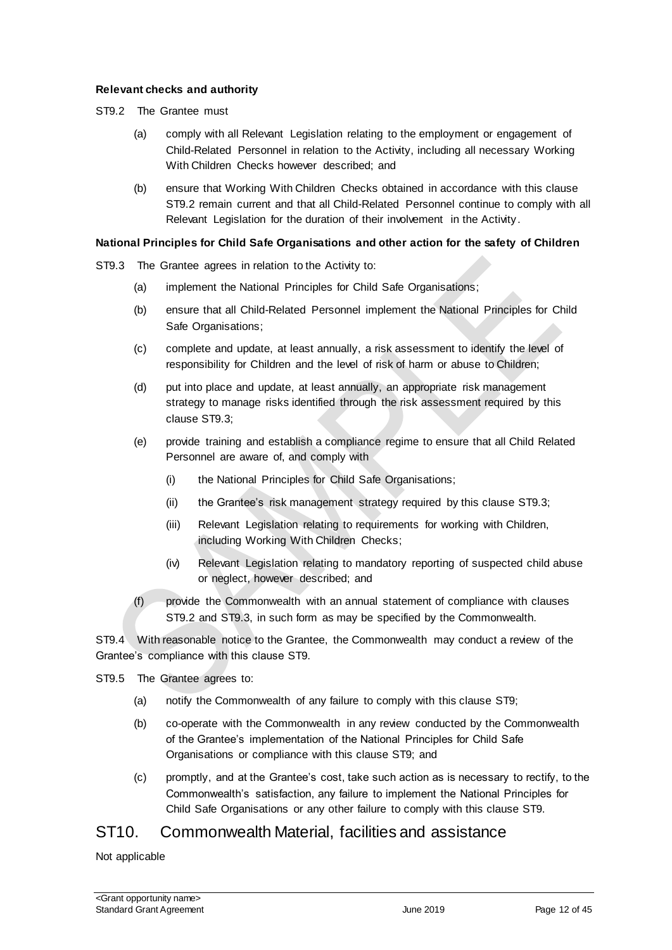#### **Relevant checks and authority**

- ST9.2 The Grantee must
	- (a) comply with all Relevant Legislation relating to the employment or engagement of Child-Related Personnel in relation to the Activity, including all necessary Working With Children Checks however described; and
	- (b) ensure that Working With Children Checks obtained in accordance with this clause ST9.2 remain current and that all Child-Related Personnel continue to comply with all Relevant Legislation for the duration of their involvement in the Activity.

#### **National Principles for Child Safe Organisations and other action for the safety of Children**

ST9.3 The Grantee agrees in relation to the Activity to:

- (a) implement the National Principles for Child Safe Organisations;
- (b) ensure that all Child-Related Personnel implement the National Principles for Child Safe Organisations;
- (c) complete and update, at least annually, a risk assessment to identify the level of responsibility for Children and the level of risk of harm or abuse to Children;
- (d) put into place and update, at least annually, an appropriate risk management strategy to manage risks identified through the risk assessment required by this clause ST9.3;
- (e) provide training and establish a compliance regime to ensure that all Child Related Personnel are aware of, and comply with
	- (i) the National Principles for Child Safe Organisations;
	- (ii) the Grantee's risk management strategy required by this clause ST9.3;
	- (iii) Relevant Legislation relating to requirements for working with Children, including Working With Children Checks;
	- (iv) Relevant Legislation relating to mandatory reporting of suspected child abuse or neglect, however described; and
- (f) provide the Commonwealth with an annual statement of compliance with clauses ST9.2 and ST9.3, in such form as may be specified by the Commonwealth.

ST9.4 With reasonable notice to the Grantee, the Commonwealth may conduct a review of the Grantee's compliance with this clause ST9.

ST9.5 The Grantee agrees to:

- (a) notify the Commonwealth of any failure to comply with this clause ST9;
- (b) co-operate with the Commonwealth in any review conducted by the Commonwealth of the Grantee's implementation of the National Principles for Child Safe Organisations or compliance with this clause ST9; and
- (c) promptly, and at the Grantee's cost, take such action as is necessary to rectify, to the Commonwealth's satisfaction, any failure to implement the National Principles for Child Safe Organisations or any other failure to comply with this clause ST9.

#### ST10. Commonwealth Material, facilities and assistance

Not applicable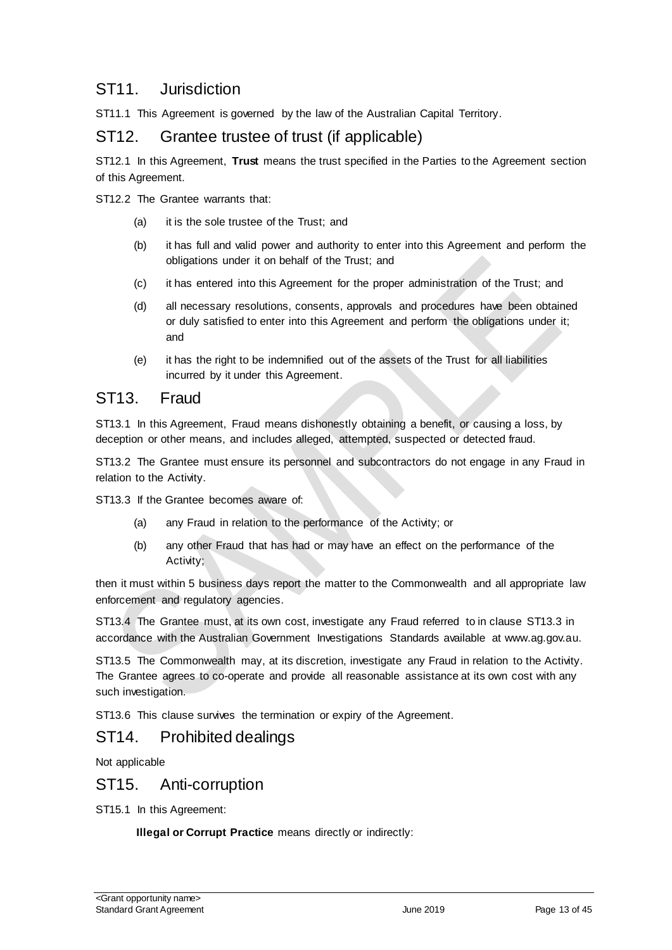# ST11. Jurisdiction

ST11.1 This Agreement is governed by the law of the Australian Capital Territory.

### ST12. Grantee trustee of trust (if applicable)

ST12.1 In this Agreement, **Trust** means the trust specified in the Parties to the Agreement section of this Agreement.

ST12.2 The Grantee warrants that:

- (a) it is the sole trustee of the Trust; and
- (b) it has full and valid power and authority to enter into this Agreement and perform the obligations under it on behalf of the Trust; and
- (c) it has entered into this Agreement for the proper administration of the Trust; and
- (d) all necessary resolutions, consents, approvals and procedures have been obtained or duly satisfied to enter into this Agreement and perform the obligations under it; and
- (e) it has the right to be indemnified out of the assets of the Trust for all liabilities incurred by it under this Agreement.

#### ST13. Fraud

ST13.1 In this Agreement, Fraud means dishonestly obtaining a benefit, or causing a loss, by deception or other means, and includes alleged, attempted, suspected or detected fraud.

ST13.2 The Grantee must ensure its personnel and subcontractors do not engage in any Fraud in relation to the Activity.

ST13.3 If the Grantee becomes aware of:

- (a) any Fraud in relation to the performance of the Activity; or
- (b) any other Fraud that has had or may have an effect on the performance of the Activity;

then it must within 5 business days report the matter to the Commonwealth and all appropriate law enforcement and regulatory agencies.

ST13.4 The Grantee must, at its own cost, investigate any Fraud referred to in clause ST13.3 in accordance with the Australian Government Investigations Standards available at [www.ag.gov.au.](http://www.ag.gov.au/)

ST13.5 The Commonwealth may, at its discretion, investigate any Fraud in relation to the Activity. The Grantee agrees to co-operate and provide all reasonable assistance at its own cost with any such investigation.

ST13.6 This clause survives the termination or expiry of the Agreement.

### ST14. Prohibited dealings

Not applicable

### ST15. Anti-corruption

ST15.1 In this Agreement:

**Illegal or Corrupt Practice** means directly or indirectly: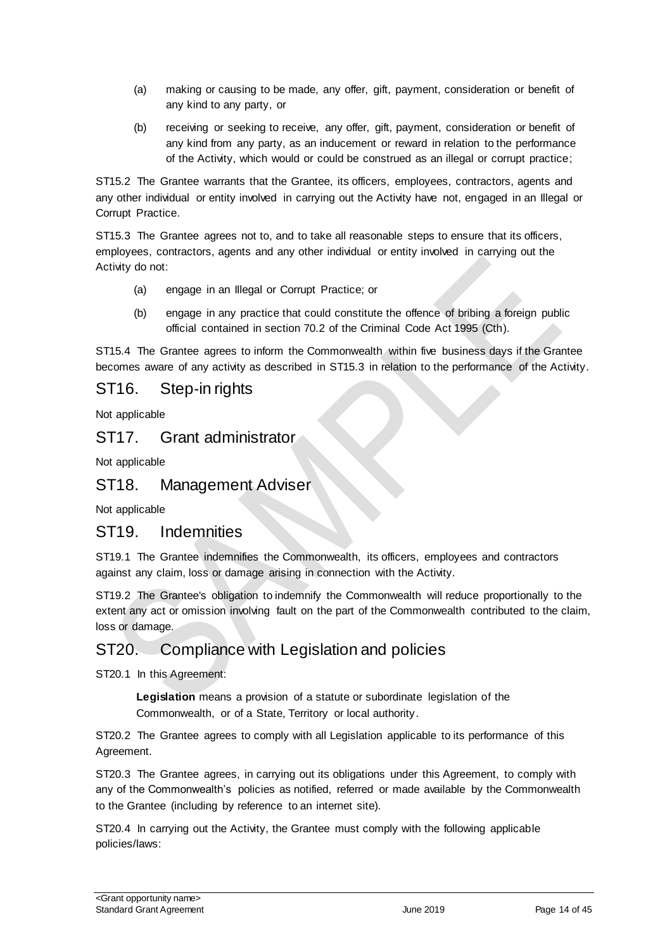- (a) making or causing to be made, any offer, gift, payment, consideration or benefit of any kind to any party, or
- (b) receiving or seeking to receive, any offer, gift, payment, consideration or benefit of any kind from any party, as an inducement or reward in relation to the performance of the Activity, which would or could be construed as an illegal or corrupt practice;

ST15.2 The Grantee warrants that the Grantee, its officers, employees, contractors, agents and any other individual or entity involved in carrying out the Activity have not, engaged in an Illegal or Corrupt Practice.

ST15.3 The Grantee agrees not to, and to take all reasonable steps to ensure that its officers, employees, contractors, agents and any other individual or entity involved in carrying out the Activity do not:

- (a) engage in an Illegal or Corrupt Practice; or
- (b) engage in any practice that could constitute the offence of bribing a foreign public official contained in section 70.2 of the Criminal Code Act 1995 (Cth).

ST15.4 The Grantee agrees to inform the Commonwealth within five business days if the Grantee becomes aware of any activity as described in ST15.3 in relation to the performance of the Activity.

### ST16. Step-in rights

Not applicable

#### ST17. Grant administrator

Not applicable

#### ST18. Management Adviser

Not applicable

#### ST19. Indemnities

ST19.1 The Grantee indemnifies the Commonwealth, its officers, employees and contractors against any claim, loss or damage arising in connection with the Activity.

ST19.2 The Grantee's obligation to indemnify the Commonwealth will reduce proportionally to the extent any act or omission involving fault on the part of the Commonwealth contributed to the claim, loss or damage.

### ST20. Compliance with Legislation and policies

ST20.1 In this Agreement:

**Legislation** means a provision of a statute or subordinate legislation of the Commonwealth, or of a State, Territory or local authority.

ST20.2 The Grantee agrees to comply with all Legislation applicable to its performance of this Agreement.

ST20.3 The Grantee agrees, in carrying out its obligations under this Agreement, to comply with any of the Commonwealth's policies as notified, referred or made available by the Commonwealth to the Grantee (including by reference to an internet site).

ST20.4 In carrying out the Activity, the Grantee must comply with the following applicable policies/laws: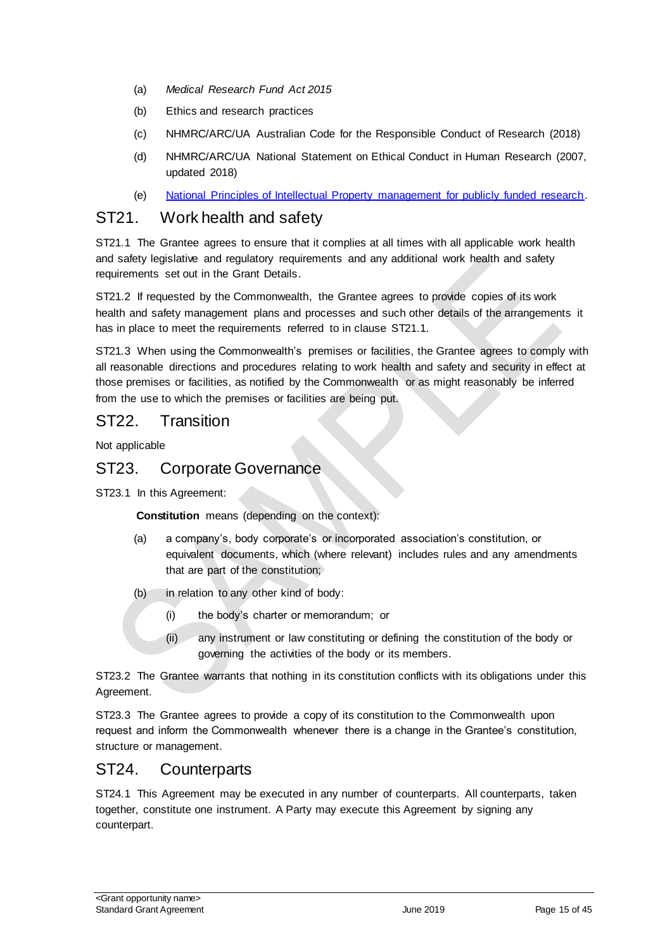- (a) *Medical Research Fund Act 2015*
- (b) Ethics and research practices
- (c) NHMRC/ARC/UA Australian Code for the Responsible Conduct of Research (2018)
- (d) NHMRC/ARC/UA National Statement on Ethical Conduct in Human Research (2007, updated 2018)
- (e) [National Principles of Intellectual Property management for publicly funded research.](https://www.nhmrc.gov.au/about-us/publications/national-principles-ip-management-publicly-funded-research)

#### ST21. Work health and safety

ST21.1 The Grantee agrees to ensure that it complies at all times with all applicable work health and safety legislative and regulatory requirements and any additional work health and safety requirements set out in the Grant Details.

ST21.2 If requested by the Commonwealth, the Grantee agrees to provide copies of its work health and safety management plans and processes and such other details of the arrangements it has in place to meet the requirements referred to in clause ST21.1.

ST21.3 When using the Commonwealth's premises or facilities, the Grantee agrees to comply with all reasonable directions and procedures relating to work health and safety and security in effect at those premises or facilities, as notified by the Commonwealth or as might reasonably be inferred from the use to which the premises or facilities are being put.

### ST22. Transition

Not applicable

### ST23. Corporate Governance

ST23.1 In this Agreement:

**Constitution** means (depending on the context):

- (a) a company's, body corporate's or incorporated association's constitution, or equivalent documents, which (where relevant) includes rules and any amendments that are part of the constitution;
- (b) in relation to any other kind of body:
	- (i) the body's charter or memorandum; or
	- (ii) any instrument or law constituting or defining the constitution of the body or governing the activities of the body or its members.

ST23.2 The Grantee warrants that nothing in its constitution conflicts with its obligations under this Agreement.

ST23.3 The Grantee agrees to provide a copy of its constitution to the Commonwealth upon request and inform the Commonwealth whenever there is a change in the Grantee's constitution, structure or management.

### ST24. Counterparts

ST24.1 This Agreement may be executed in any number of counterparts. All counterparts, taken together, constitute one instrument. A Party may execute this Agreement by signing any counterpart.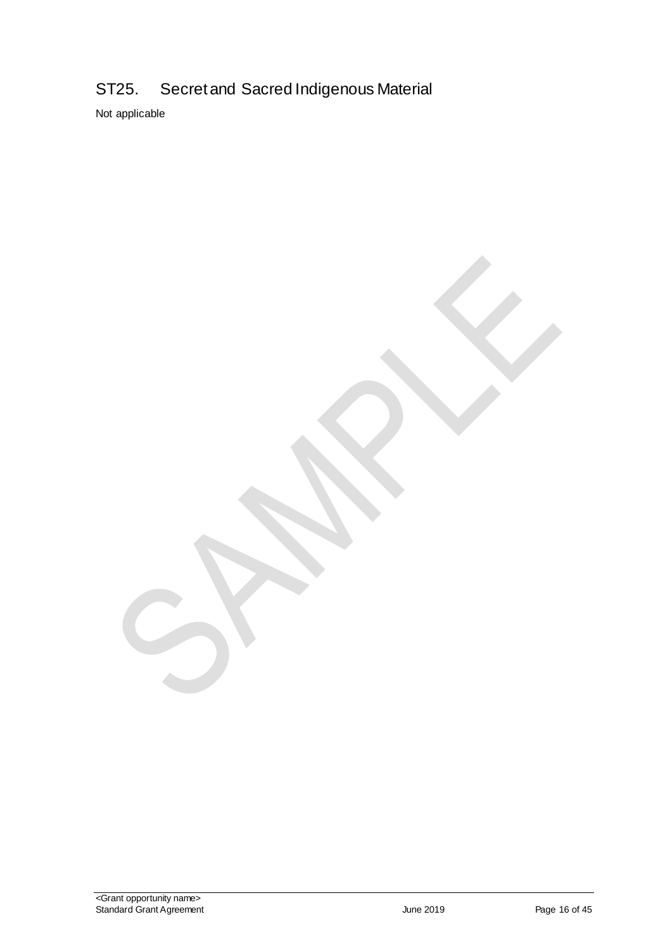# ST25. Secret and Sacred Indigenous Material

Not applicable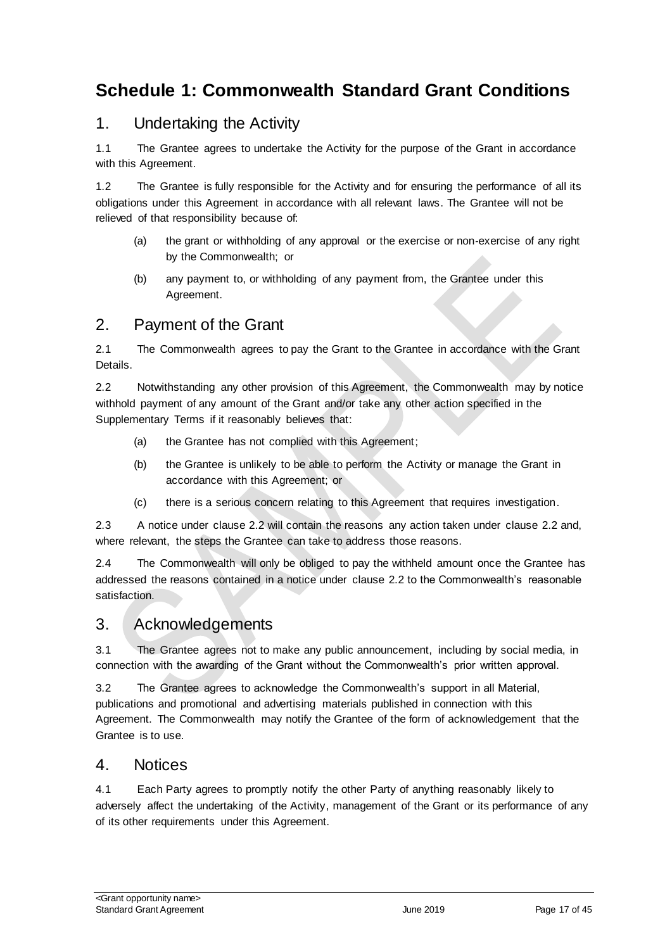# <span id="page-16-0"></span>**Schedule 1: Commonwealth Standard Grant Conditions**

# 1. Undertaking the Activity

1.1 The Grantee agrees to undertake the Activity for the purpose of the Grant in accordance with this Agreement.

1.2 The Grantee is fully responsible for the Activity and for ensuring the performance of all its obligations under this Agreement in accordance with all relevant laws. The Grantee will not be relieved of that responsibility because of:

- (a) the grant or withholding of any approval or the exercise or non‐exercise of any right by the Commonwealth; or
- (b) any payment to, or withholding of any payment from, the Grantee under this Agreement.

### 2. Payment of the Grant

2.1 The Commonwealth agrees to pay the Grant to the Grantee in accordance with the Grant Details.

2.2 Notwithstanding any other provision of this Agreement, the Commonwealth may by notice withhold payment of any amount of the Grant and/or take any other action specified in the Supplementary Terms if it reasonably believes that:

- (a) the Grantee has not complied with this Agreement;
- (b) the Grantee is unlikely to be able to perform the Activity or manage the Grant in accordance with this Agreement; or
- (c) there is a serious concern relating to this Agreement that requires investigation.

2.3 A notice under clause 2.2 will contain the reasons any action taken under clause 2.2 and, where relevant, the steps the Grantee can take to address those reasons.

2.4 The Commonwealth will only be obliged to pay the withheld amount once the Grantee has addressed the reasons contained in a notice under clause 2.2 to the Commonwealth's reasonable satisfaction.

# 3. Acknowledgements

3.1 The Grantee agrees not to make any public announcement, including by social media, in connection with the awarding of the Grant without the Commonwealth's prior written approval.

3.2 The Grantee agrees to acknowledge the Commonwealth's support in all Material, publications and promotional and advertising materials published in connection with this Agreement. The Commonwealth may notify the Grantee of the form of acknowledgement that the Grantee is to use.

#### 4. Notices

4.1 Each Party agrees to promptly notify the other Party of anything reasonably likely to adversely affect the undertaking of the Activity, management of the Grant or its performance of any of its other requirements under this Agreement.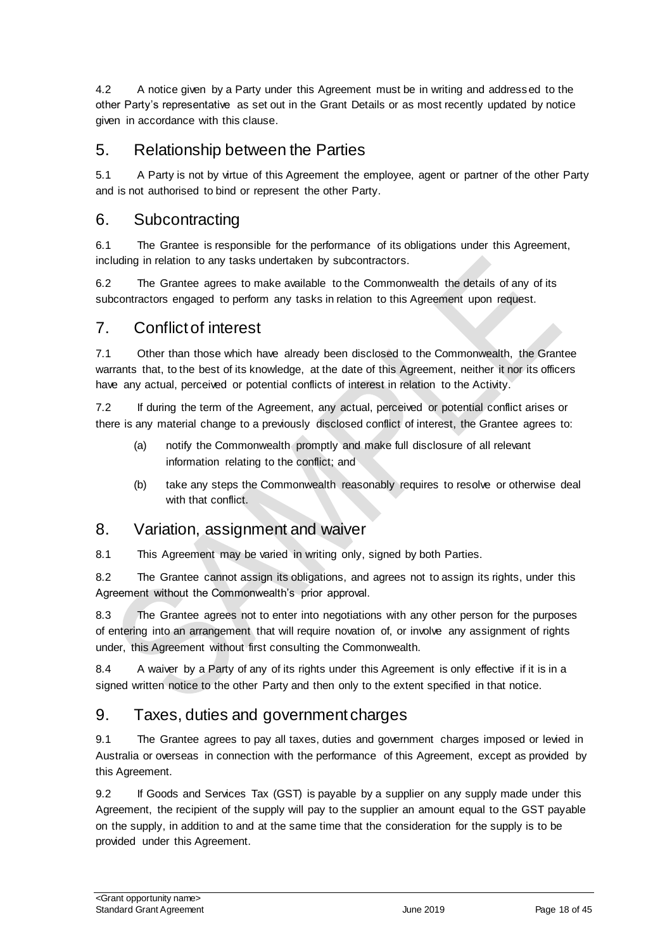4.2 A notice given by a Party under this Agreement must be in writing and addressed to the other Party's representative as set out in the Grant Details or as most recently updated by notice given in accordance with this clause.

# 5. Relationship between the Parties

5.1 A Party is not by virtue of this Agreement the employee, agent or partner of the other Party and is not authorised to bind or represent the other Party.

### 6. Subcontracting

6.1 The Grantee is responsible for the performance of its obligations under this Agreement, including in relation to any tasks undertaken by subcontractors.

6.2 The Grantee agrees to make available to the Commonwealth the details of any of its subcontractors engaged to perform any tasks in relation to this Agreement upon request.

### 7. Conflict of interest

7.1 Other than those which have already been disclosed to the Commonwealth, the Grantee warrants that, to the best of its knowledge, at the date of this Agreement, neither it nor its officers have any actual, perceived or potential conflicts of interest in relation to the Activity.

7.2 If during the term of the Agreement, any actual, perceived or potential conflict arises or there is any material change to a previously disclosed conflict of interest, the Grantee agrees to:

- (a) notify the Commonwealth promptly and make full disclosure of all relevant information relating to the conflict; and
- (b) take any steps the Commonwealth reasonably requires to resolve or otherwise deal with that conflict.

#### 8. Variation, assignment and waiver

8.1 This Agreement may be varied in writing only, signed by both Parties.

8.2 The Grantee cannot assign its obligations, and agrees not to assign its rights, under this Agreement without the Commonwealth's prior approval.

8.3 The Grantee agrees not to enter into negotiations with any other person for the purposes of entering into an arrangement that will require novation of, or involve any assignment of rights under, this Agreement without first consulting the Commonwealth.

8.4 A waiver by a Party of any of its rights under this Agreement is only effective if it is in a signed written notice to the other Party and then only to the extent specified in that notice.

# 9. Taxes, duties and government charges

9.1 The Grantee agrees to pay all taxes, duties and government charges imposed or levied in Australia or overseas in connection with the performance of this Agreement, except as provided by this Agreement.

9.2 If Goods and Services Tax (GST) is payable by a supplier on any supply made under this Agreement, the recipient of the supply will pay to the supplier an amount equal to the GST payable on the supply, in addition to and at the same time that the consideration for the supply is to be provided under this Agreement.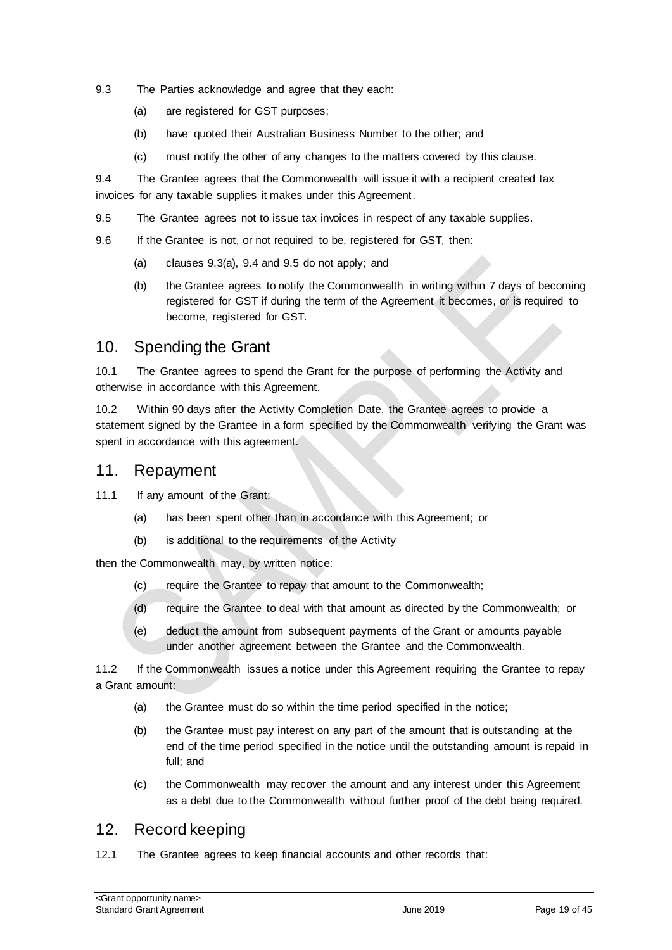- 9.3 The Parties acknowledge and agree that they each:
	- (a) are registered for GST purposes;
	- (b) have quoted their Australian Business Number to the other; and
	- (c) must notify the other of any changes to the matters covered by this clause.

9.4 The Grantee agrees that the Commonwealth will issue it with a recipient created tax invoices for any taxable supplies it makes under this Agreement.

9.5 The Grantee agrees not to issue tax invoices in respect of any taxable supplies.

9.6 If the Grantee is not, or not required to be, registered for GST, then:

- (a) clauses 9.3(a), 9.4 and 9.5 do not apply; and
- (b) the Grantee agrees to notify the Commonwealth in writing within 7 days of becoming registered for GST if during the term of the Agreement it becomes, or is required to become, registered for GST.

#### 10. Spending the Grant

10.1 The Grantee agrees to spend the Grant for the purpose of performing the Activity and otherwise in accordance with this Agreement.

10.2 Within 90 days after the Activity Completion Date, the Grantee agrees to provide a statement signed by the Grantee in a form specified by the Commonwealth verifying the Grant was spent in accordance with this agreement.

#### 11. Repayment

11.1 If any amount of the Grant:

- (a) has been spent other than in accordance with this Agreement; or
- (b) is additional to the requirements of the Activity

then the Commonwealth may, by written notice:

- (c) require the Grantee to repay that amount to the Commonwealth;
- (d) require the Grantee to deal with that amount as directed by the Commonwealth; or
- (e) deduct the amount from subsequent payments of the Grant or amounts payable under another agreement between the Grantee and the Commonwealth.

11.2 If the Commonwealth issues a notice under this Agreement requiring the Grantee to repay a Grant amount:

- (a) the Grantee must do so within the time period specified in the notice;
- (b) the Grantee must pay interest on any part of the amount that is outstanding at the end of the time period specified in the notice until the outstanding amount is repaid in full; and
- (c) the Commonwealth may recover the amount and any interest under this Agreement as a debt due to the Commonwealth without further proof of the debt being required.

### 12. Record keeping

12.1 The Grantee agrees to keep financial accounts and other records that: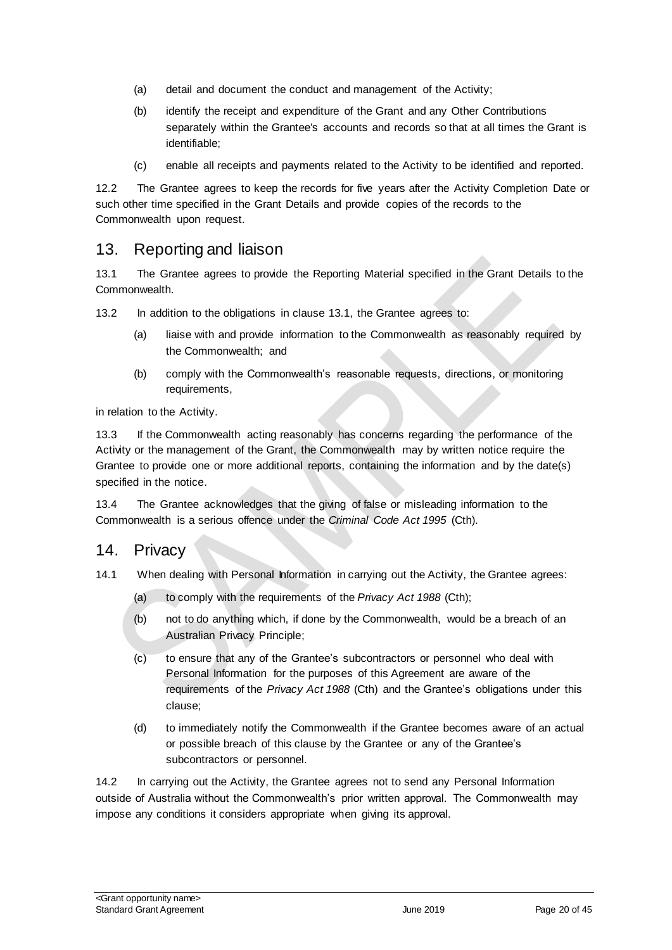- (a) detail and document the conduct and management of the Activity;
- (b) identify the receipt and expenditure of the Grant and any Other Contributions separately within the Grantee's accounts and records so that at all times the Grant is identifiable;
- (c) enable all receipts and payments related to the Activity to be identified and reported.

12.2 The Grantee agrees to keep the records for five years after the Activity Completion Date or such other time specified in the Grant Details and provide copies of the records to the Commonwealth upon request.

### 13. Reporting and liaison

13.1 The Grantee agrees to provide the Reporting Material specified in the Grant Details to the Commonwealth.

13.2 In addition to the obligations in clause 13.1, the Grantee agrees to:

- (a) liaise with and provide information to the Commonwealth as reasonably required by the Commonwealth; and
- (b) comply with the Commonwealth's reasonable requests, directions, or monitoring requirements,

in relation to the Activity.

13.3 If the Commonwealth acting reasonably has concerns regarding the performance of the Activity or the management of the Grant, the Commonwealth may by written notice require the Grantee to provide one or more additional reports, containing the information and by the date(s) specified in the notice.

13.4 The Grantee acknowledges that the giving of false or misleading information to the Commonwealth is a serious offence under the *Criminal Code Act 1995* (Cth).

#### 14. Privacy

- 14.1 When dealing with Personal Information in carrying out the Activity, the Grantee agrees:
	- (a) to comply with the requirements of the *Privacy Act 1988* (Cth);
	- (b) not to do anything which, if done by the Commonwealth, would be a breach of an Australian Privacy Principle;
	- (c) to ensure that any of the Grantee's subcontractors or personnel who deal with Personal Information for the purposes of this Agreement are aware of the requirements of the *Privacy Act 1988* (Cth) and the Grantee's obligations under this clause;
	- (d) to immediately notify the Commonwealth if the Grantee becomes aware of an actual or possible breach of this clause by the Grantee or any of the Grantee's subcontractors or personnel.

14.2 In carrying out the Activity, the Grantee agrees not to send any Personal Information outside of Australia without the Commonwealth's prior written approval. The Commonwealth may impose any conditions it considers appropriate when giving its approval.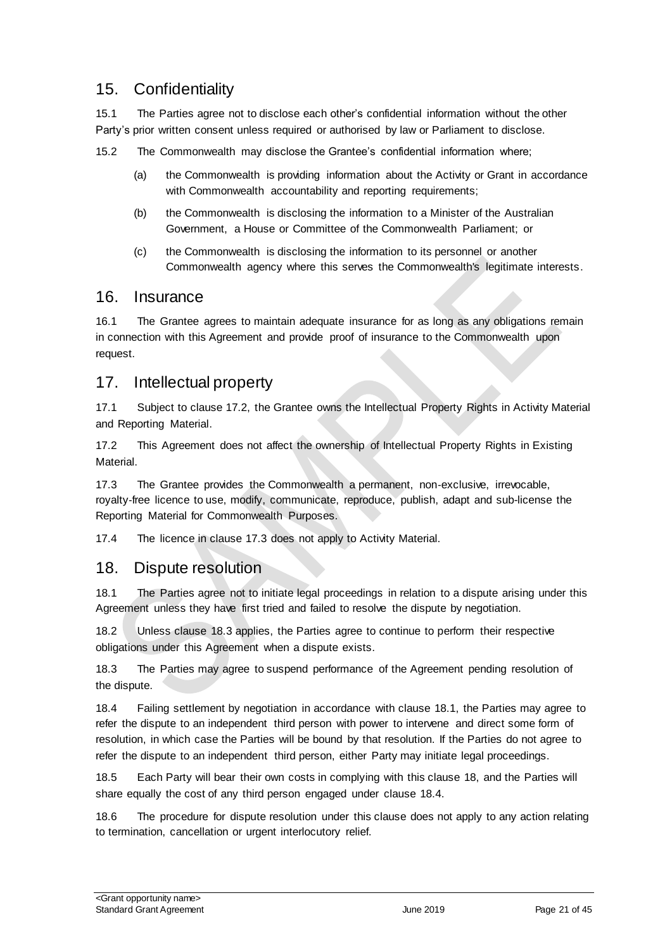# 15. Confidentiality

15.1 The Parties agree not to disclose each other's confidential information without the other Party's prior written consent unless required or authorised by law or Parliament to disclose.

15.2 The Commonwealth may disclose the Grantee's confidential information where;

- (a) the Commonwealth is providing information about the Activity or Grant in accordance with Commonwealth accountability and reporting requirements;
- (b) the Commonwealth is disclosing the information to a Minister of the Australian Government, a House or Committee of the Commonwealth Parliament; or
- (c) the Commonwealth is disclosing the information to its personnel or another Commonwealth agency where this serves the Commonwealth's legitimate interests.

#### 16. Insurance

16.1 The Grantee agrees to maintain adequate insurance for as long as any obligations remain in connection with this Agreement and provide proof of insurance to the Commonwealth upon request.

### 17. Intellectual property

17.1 Subject to clause 17.2, the Grantee owns the Intellectual Property Rights in Activity Material and Reporting Material.

17.2 This Agreement does not affect the ownership of Intellectual Property Rights in Existing Material.

17.3 The Grantee provides the Commonwealth a permanent, non-exclusive, irrevocable, royalty‐free licence to use, modify, communicate, reproduce, publish, adapt and sub-license the Reporting Material for Commonwealth Purposes.

17.4 The licence in clause 17.3 does not apply to Activity Material.

#### 18. Dispute resolution

18.1 The Parties agree not to initiate legal proceedings in relation to a dispute arising under this Agreement unless they have first tried and failed to resolve the dispute by negotiation.

18.2 Unless clause 18.3 applies, the Parties agree to continue to perform their respective obligations under this Agreement when a dispute exists.

18.3 The Parties may agree to suspend performance of the Agreement pending resolution of the dispute.

18.4 Failing settlement by negotiation in accordance with clause 18.1, the Parties may agree to refer the dispute to an independent third person with power to intervene and direct some form of resolution, in which case the Parties will be bound by that resolution. If the Parties do not agree to refer the dispute to an independent third person, either Party may initiate legal proceedings.

18.5 Each Party will bear their own costs in complying with this clause 18, and the Parties will share equally the cost of any third person engaged under clause 18.4.

18.6 The procedure for dispute resolution under this clause does not apply to any action relating to termination, cancellation or urgent interlocutory relief.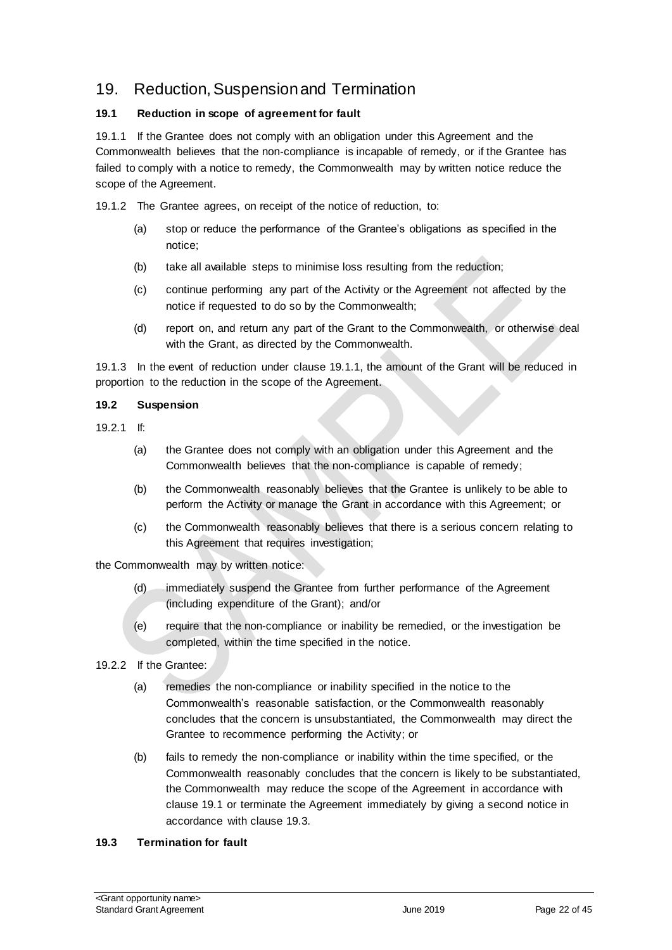# 19. Reduction, Suspension and Termination

#### **19.1 Reduction in scope of agreement for fault**

19.1.1 If the Grantee does not comply with an obligation under this Agreement and the Commonwealth believes that the non‐compliance is incapable of remedy, or if the Grantee has failed to comply with a notice to remedy, the Commonwealth may by written notice reduce the scope of the Agreement.

19.1.2 The Grantee agrees, on receipt of the notice of reduction, to:

- (a) stop or reduce the performance of the Grantee's obligations as specified in the notice;
- (b) take all available steps to minimise loss resulting from the reduction;
- (c) continue performing any part of the Activity or the Agreement not affected by the notice if requested to do so by the Commonwealth;
- (d) report on, and return any part of the Grant to the Commonwealth, or otherwise deal with the Grant, as directed by the Commonwealth.

19.1.3 In the event of reduction under clause 19.1.1, the amount of the Grant will be reduced in proportion to the reduction in the scope of the Agreement.

#### **19.2 Suspension**

- 19.2.1 If:
	- (a) the Grantee does not comply with an obligation under this Agreement and the Commonwealth believes that the non‐compliance is capable of remedy;
	- (b) the Commonwealth reasonably believes that the Grantee is unlikely to be able to perform the Activity or manage the Grant in accordance with this Agreement; or
	- (c) the Commonwealth reasonably believes that there is a serious concern relating to this Agreement that requires investigation;

the Commonwealth may by written notice:

- (d) immediately suspend the Grantee from further performance of the Agreement (including expenditure of the Grant); and/or
- (e) require that the non‐compliance or inability be remedied, or the investigation be completed, within the time specified in the notice.
- 19.2.2 If the Grantee:
	- (a) remedies the non‐compliance or inability specified in the notice to the Commonwealth's reasonable satisfaction, or the Commonwealth reasonably concludes that the concern is unsubstantiated, the Commonwealth may direct the Grantee to recommence performing the Activity; or
	- (b) fails to remedy the non‐compliance or inability within the time specified, or the Commonwealth reasonably concludes that the concern is likely to be substantiated, the Commonwealth may reduce the scope of the Agreement in accordance with clause 19.1 or terminate the Agreement immediately by giving a second notice in accordance with clause 19.3.

#### **19.3 Termination for fault**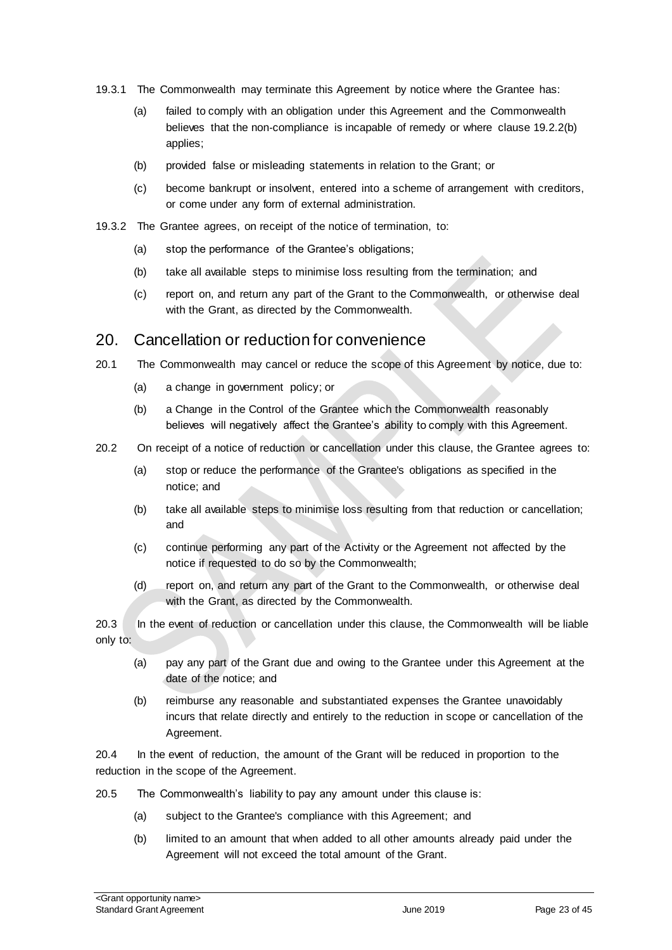- 19.3.1 The Commonwealth may terminate this Agreement by notice where the Grantee has:
	- (a) failed to comply with an obligation under this Agreement and the Commonwealth believes that the non-compliance is incapable of remedy or where clause 19.2.2(b) applies;
	- (b) provided false or misleading statements in relation to the Grant; or
	- (c) become bankrupt or insolvent, entered into a scheme of arrangement with creditors, or come under any form of external administration.
- 19.3.2 The Grantee agrees, on receipt of the notice of termination, to:
	- (a) stop the performance of the Grantee's obligations;
	- (b) take all available steps to minimise loss resulting from the termination; and
	- (c) report on, and return any part of the Grant to the Commonwealth, or otherwise deal with the Grant, as directed by the Commonwealth.

#### 20. Cancellation or reduction for convenience

- 20.1 The Commonwealth may cancel or reduce the scope of this Agreement by notice, due to:
	- (a) a change in government policy; or
	- (b) a Change in the Control of the Grantee which the Commonwealth reasonably believes will negatively affect the Grantee's ability to comply with this Agreement.
- 20.2 On receipt of a notice of reduction or cancellation under this clause, the Grantee agrees to:
	- (a) stop or reduce the performance of the Grantee's obligations as specified in the notice; and
	- (b) take all available steps to minimise loss resulting from that reduction or cancellation; and
	- (c) continue performing any part of the Activity or the Agreement not affected by the notice if requested to do so by the Commonwealth;
	- (d) report on, and return any part of the Grant to the Commonwealth, or otherwise deal with the Grant, as directed by the Commonwealth.

20.3 In the event of reduction or cancellation under this clause, the Commonwealth will be liable only to:

- (a) pay any part of the Grant due and owing to the Grantee under this Agreement at the date of the notice; and
- (b) reimburse any reasonable and substantiated expenses the Grantee unavoidably incurs that relate directly and entirely to the reduction in scope or cancellation of the Agreement.

20.4 In the event of reduction, the amount of the Grant will be reduced in proportion to the reduction in the scope of the Agreement.

- 20.5 The Commonwealth's liability to pay any amount under this clause is:
	- (a) subject to the Grantee's compliance with this Agreement; and
	- (b) limited to an amount that when added to all other amounts already paid under the Agreement will not exceed the total amount of the Grant.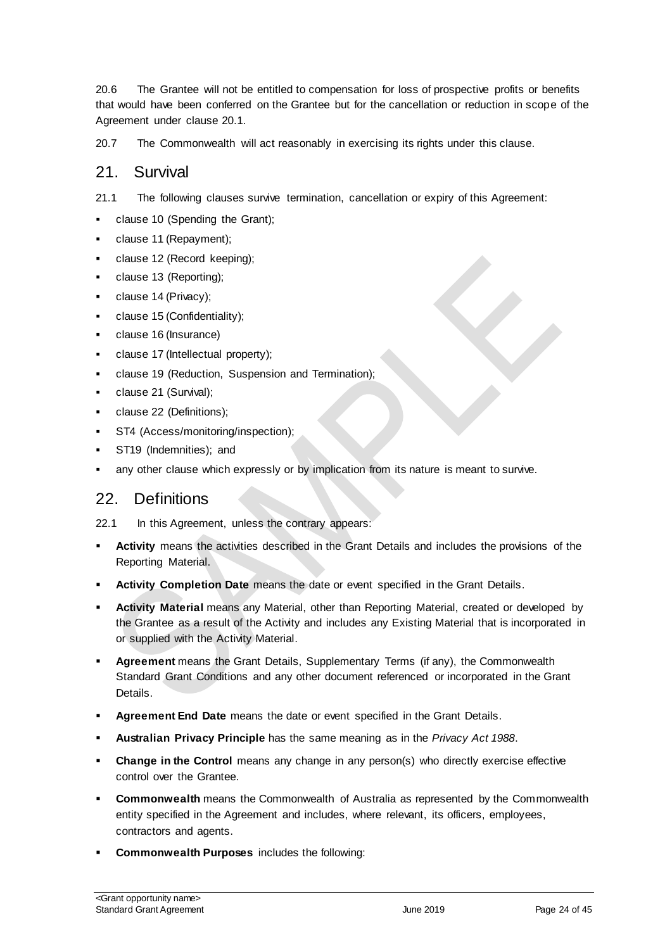20.6 The Grantee will not be entitled to compensation for loss of prospective profits or benefits that would have been conferred on the Grantee but for the cancellation or reduction in scope of the Agreement under clause 20.1.

20.7 The Commonwealth will act reasonably in exercising its rights under this clause.

#### 21. Survival

- 21.1 The following clauses survive termination, cancellation or expiry of this Agreement:
- clause 10 (Spending the Grant);
- clause 11 (Repayment);
- clause 12 (Record keeping);
- clause 13 (Reporting);
- clause 14 (Privacy);
- clause 15 (Confidentiality);
- clause 16 (Insurance)
- clause 17 (Intellectual property);
- clause 19 (Reduction, Suspension and Termination);
- clause 21 (Survival);
- clause 22 (Definitions);
- ST4 (Access/monitoring/inspection);
- ST19 (Indemnities); and
- any other clause which expressly or by implication from its nature is meant to survive.

# 22. Definitions

22.1 In this Agreement, unless the contrary appears:

- **Activity** means the activities described in the Grant Details and includes the provisions of the Reporting Material.
- **Activity Completion Date** means the date or event specified in the Grant Details.
- **Activity Material** means any Material, other than Reporting Material, created or developed by the Grantee as a result of the Activity and includes any Existing Material that is incorporated in or supplied with the Activity Material.
- **Agreement** means the Grant Details, Supplementary Terms (if any), the Commonwealth Standard Grant Conditions and any other document referenced or incorporated in the Grant Details.
- **Agreement End Date** means the date or event specified in the Grant Details.
- **Australian Privacy Principle** has the same meaning as in the *Privacy Act 1988*.
- **Change in the Control** means any change in any person(s) who directly exercise effective control over the Grantee.
- **Commonwealth** means the Commonwealth of Australia as represented by the Commonwealth entity specified in the Agreement and includes, where relevant, its officers, employees, contractors and agents.
- **Commonwealth Purposes** includes the following: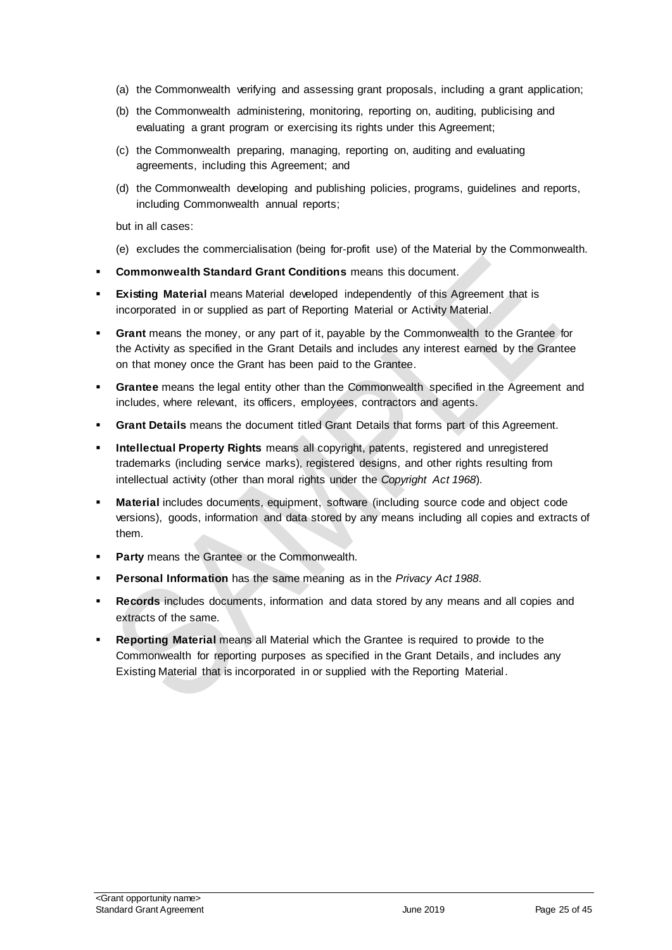- (a) the Commonwealth verifying and assessing grant proposals, including a grant application;
- (b) the Commonwealth administering, monitoring, reporting on, auditing, publicising and evaluating a grant program or exercising its rights under this Agreement;
- (c) the Commonwealth preparing, managing, reporting on, auditing and evaluating agreements, including this Agreement; and
- (d) the Commonwealth developing and publishing policies, programs, guidelines and reports, including Commonwealth annual reports;

but in all cases:

- (e) excludes the commercialisation (being for‐profit use) of the Material by the Commonwealth.
- **Commonwealth Standard Grant Conditions** means this document.
- **Existing Material** means Material developed independently of this Agreement that is incorporated in or supplied as part of Reporting Material or Activity Material.
- **Grant** means the money, or any part of it, payable by the Commonwealth to the Grantee for the Activity as specified in the Grant Details and includes any interest earned by the Grantee on that money once the Grant has been paid to the Grantee.
- **Grantee** means the legal entity other than the Commonwealth specified in the Agreement and includes, where relevant, its officers, employees, contractors and agents.
- **Grant Details** means the document titled Grant Details that forms part of this Agreement.
- **Intellectual Property Rights** means all copyright, patents, registered and unregistered trademarks (including service marks), registered designs, and other rights resulting from intellectual activity (other than moral rights under the *Copyright Act 1968*).
- **Material** includes documents, equipment, software (including source code and object code versions), goods, information and data stored by any means including all copies and extracts of them.
- **Party** means the Grantee or the Commonwealth.
- **Personal Information** has the same meaning as in the *Privacy Act 1988*.
- **Records** includes documents, information and data stored by any means and all copies and extracts of the same.
- **Reporting Material** means all Material which the Grantee is required to provide to the Commonwealth for reporting purposes as specified in the Grant Details, and includes any Existing Material that is incorporated in or supplied with the Reporting Material.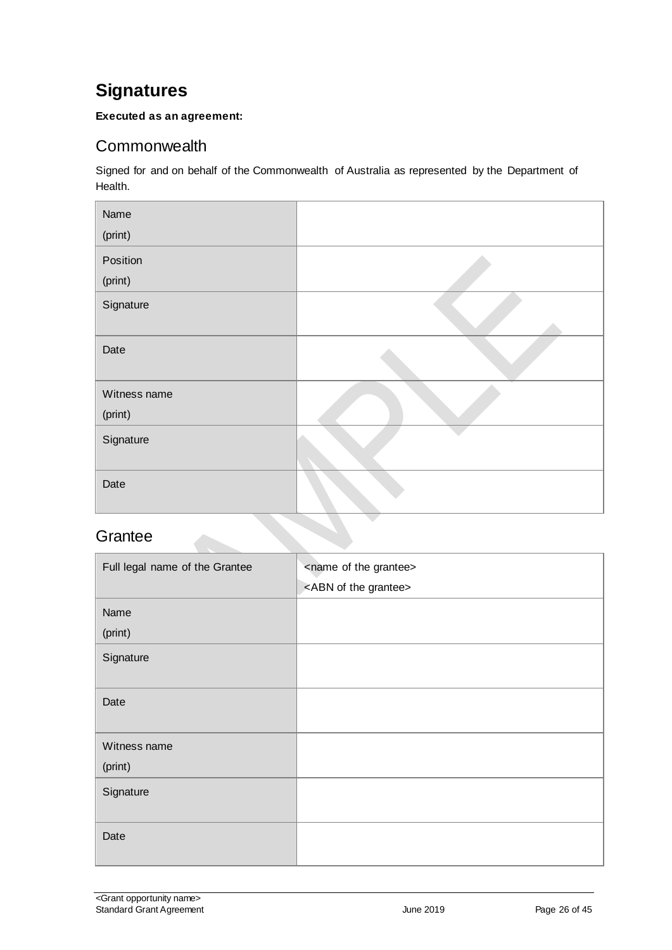# <span id="page-25-0"></span>**Signatures**

#### **Executed as an agreement:**

# <span id="page-25-1"></span>**Commonwealth**

Signed for and on behalf of the Commonwealth of Australia as represented by the Department of Health.

| Name         |  |
|--------------|--|
| (print)      |  |
| Position     |  |
| (print)      |  |
| Signature    |  |
| Date         |  |
| Witness name |  |
| (print)      |  |
| Signature    |  |
| Date         |  |

### <span id="page-25-2"></span>**Grantee**

| Full legal name of the Grantee | <name grantee="" of="" the=""><br/><abn grantee="" of="" the=""></abn></name> |
|--------------------------------|-------------------------------------------------------------------------------|
| Name<br>(print)                |                                                                               |
| Signature                      |                                                                               |
| Date                           |                                                                               |
| Witness name<br>(print)        |                                                                               |
| Signature                      |                                                                               |
| Date                           |                                                                               |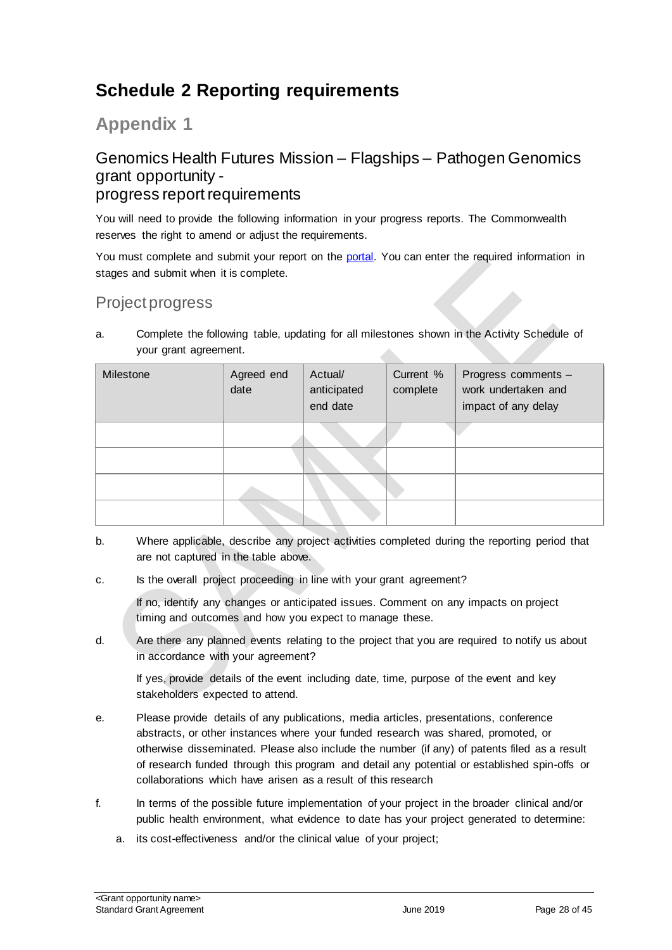# <span id="page-27-0"></span>**Schedule 2 Reporting requirements**

**Appendix 1**

### Genomics Health Futures Mission – Flagships – Pathogen Genomics grant opportunity progress report requirements

You will need to provide the following information in your progress reports. The Commonwealth reserves the right to amend or adjust the requirements.

You must complete and submit your report on the [portal.](https://portal.business.gov.au/) You can enter the required information in stages and submit when it is complete.

# Project progress

a. Complete the following table, updating for all milestones shown in the Activity Schedule of your grant agreement. 

| Milestone | Agreed end<br>date | Actual/<br>anticipated<br>end date | Current %<br>complete | Progress comments -<br>work undertaken and<br>impact of any delay |
|-----------|--------------------|------------------------------------|-----------------------|-------------------------------------------------------------------|
|           |                    |                                    |                       |                                                                   |
|           |                    |                                    |                       |                                                                   |
|           |                    |                                    |                       |                                                                   |
|           |                    |                                    |                       |                                                                   |

- b. Where applicable, describe any project activities completed during the reporting period that are not captured in the table above.
- c. Is the overall project proceeding in line with your grant agreement?

If no, identify any changes or anticipated issues. Comment on any impacts on project timing and outcomes and how you expect to manage these.

d. Are there any planned events relating to the project that you are required to notify us about in accordance with your agreement?

If yes, provide details of the event including date, time, purpose of the event and key stakeholders expected to attend.

- e. Please provide details of any publications, media articles, presentations, conference abstracts, or other instances where your funded research was shared, promoted, or otherwise disseminated. Please also include the number (if any) of patents filed as a result of research funded through this program and detail any potential or established spin-offs or collaborations which have arisen as a result of this research
- f. In terms of the possible future implementation of your project in the broader clinical and/or public health environment, what evidence to date has your project generated to determine:
	- a. its cost-effectiveness and/or the clinical value of your project;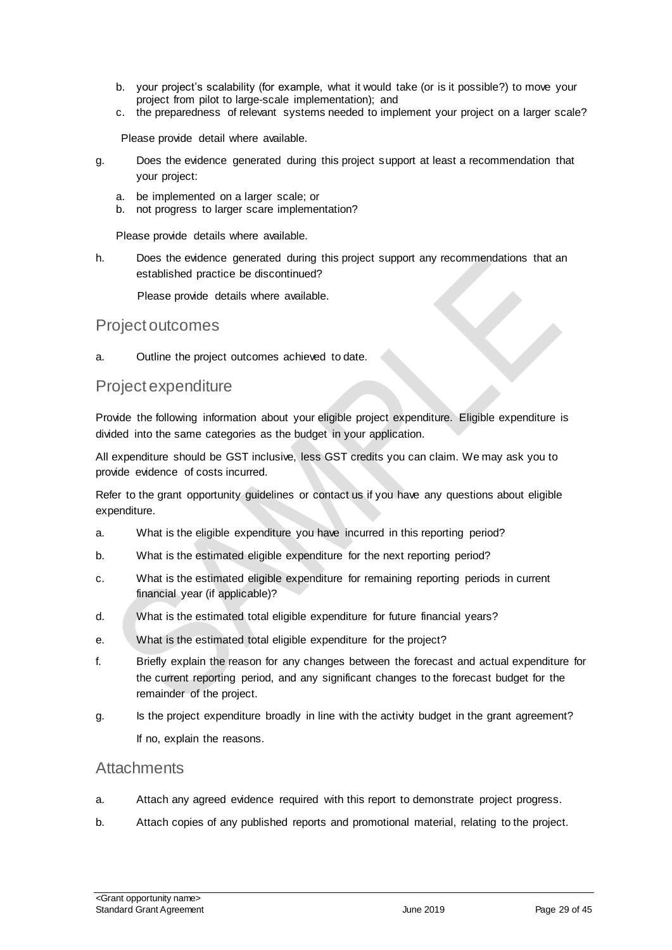- b. your project's scalability (for example, what it would take (or is it possible?) to move your project from pilot to large-scale implementation); and
- c. the preparedness of relevant systems needed to implement your project on a larger scale?

Please provide detail where available.

- g. Does the evidence generated during this project support at least a recommendation that your project:
	- a. be implemented on a larger scale; or
	- b. not progress to larger scare implementation?

Please provide details where available.

h. Does the evidence generated during this project support any recommendations that an established practice be discontinued?

Please provide details where available.

#### Project outcomes

a. Outline the project outcomes achieved to date.

#### Project expenditure

Provide the following information about your eligible project expenditure. Eligible expenditure is divided into the same categories as the budget in your application.

All expenditure should be GST inclusive, less GST credits you can claim. We may ask you to provide evidence of costs incurred.

Refer to the grant opportunity guidelines or contact us if you have any questions about eligible expenditure.

- a. What is the eligible expenditure you have incurred in this reporting period?
- b. What is the estimated eligible expenditure for the next reporting period?
- c. What is the estimated eligible expenditure for remaining reporting periods in current financial year (if applicable)?
- d. What is the estimated total eligible expenditure for future financial years?
- e. What is the estimated total eligible expenditure for the project?
- f. Briefly explain the reason for any changes between the forecast and actual expenditure for the current reporting period, and any significant changes to the forecast budget for the remainder of the project.
- g. Is the project expenditure broadly in line with the activity budget in the grant agreement? If no, explain the reasons.

#### **Attachments**

- a. Attach any agreed evidence required with this report to demonstrate project progress.
- b. Attach copies of any published reports and promotional material, relating to the project.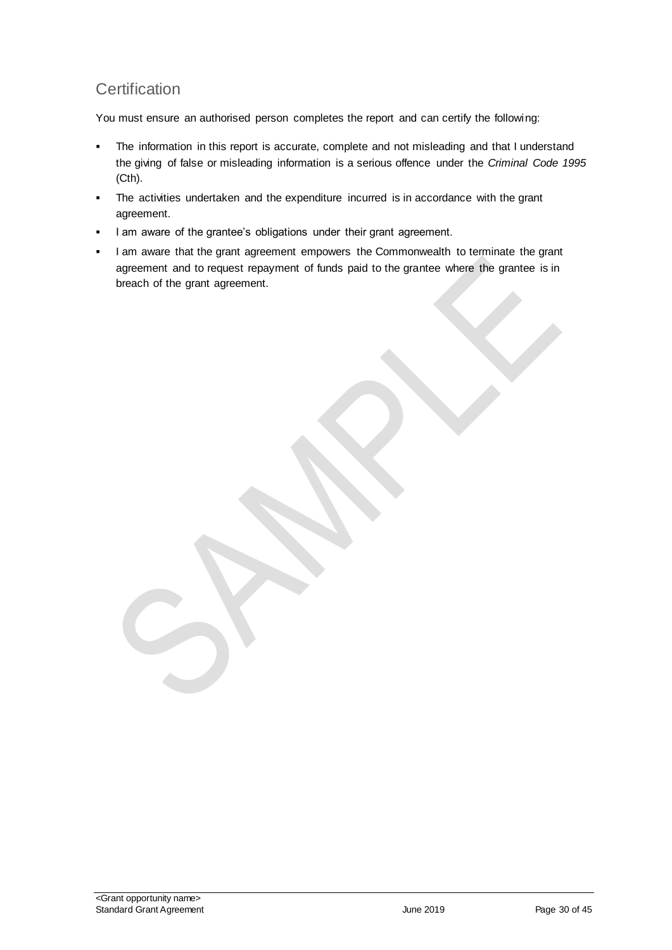# **Certification**

You must ensure an authorised person completes the report and can certify the following:

- The information in this report is accurate, complete and not misleading and that I understand the giving of false or misleading information is a serious offence under the *Criminal Code 1995* (Cth).
- The activities undertaken and the expenditure incurred is in accordance with the grant agreement.
- I am aware of the grantee's obligations under their grant agreement.
- I am aware that the grant agreement empowers the Commonwealth to terminate the grant agreement and to request repayment of funds paid to the grantee where the grantee is in breach of the grant agreement.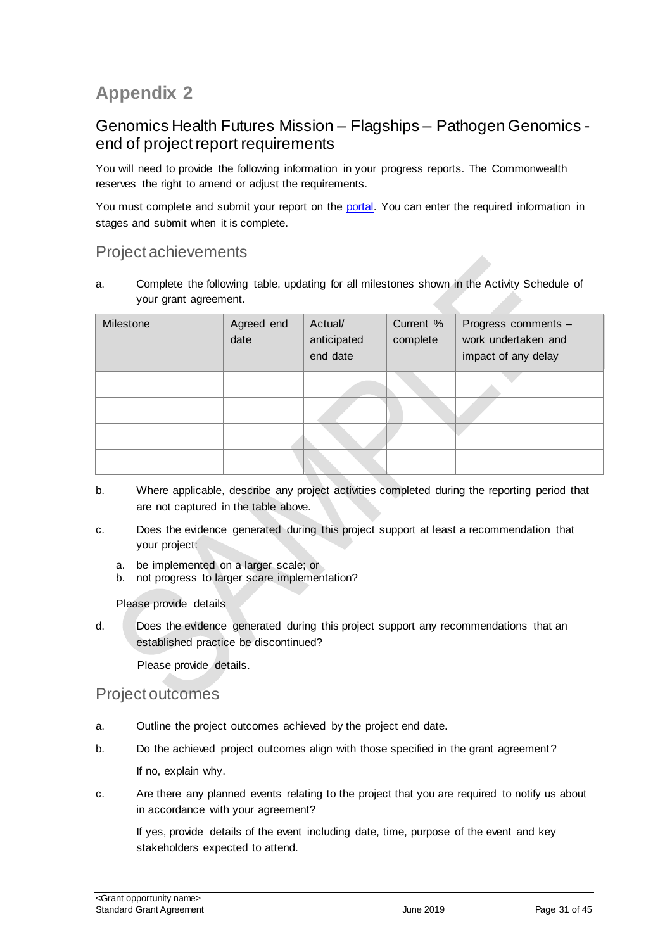# **Appendix 2**

### Genomics Health Futures Mission – Flagships – Pathogen Genomics end of project report requirements

You will need to provide the following information in your progress reports. The Commonwealth reserves the right to amend or adjust the requirements.

You must complete and submit your report on the [portal.](https://portal.business.gov.au/) You can enter the required information in stages and submit when it is complete.

### Project achievements

a. Complete the following table, updating for all milestones shown in the Activity Schedule of your grant agreement.

| Milestone | Agreed end<br>date | Actual/<br>anticipated<br>end date | Current %<br>complete | Progress comments -<br>work undertaken and<br>impact of any delay |
|-----------|--------------------|------------------------------------|-----------------------|-------------------------------------------------------------------|
|           |                    |                                    |                       |                                                                   |
|           |                    |                                    |                       |                                                                   |
|           |                    |                                    |                       |                                                                   |
|           |                    |                                    |                       |                                                                   |

- b. Where applicable, describe any project activities completed during the reporting period that are not captured in the table above.
- c. Does the evidence generated during this project support at least a recommendation that your project:
	- a. be implemented on a larger scale; or
	- b. not progress to larger scare implementation?

#### Please provide details

d. Does the evidence generated during this project support any recommendations that an established practice be discontinued?

Please provide details.

#### Project outcomes

- a. Outline the project outcomes achieved by the project end date.
- b. Do the achieved project outcomes align with those specified in the grant agreement? If no, explain why.
- c. Are there any planned events relating to the project that you are required to notify us about in accordance with your agreement?

If yes, provide details of the event including date, time, purpose of the event and key stakeholders expected to attend.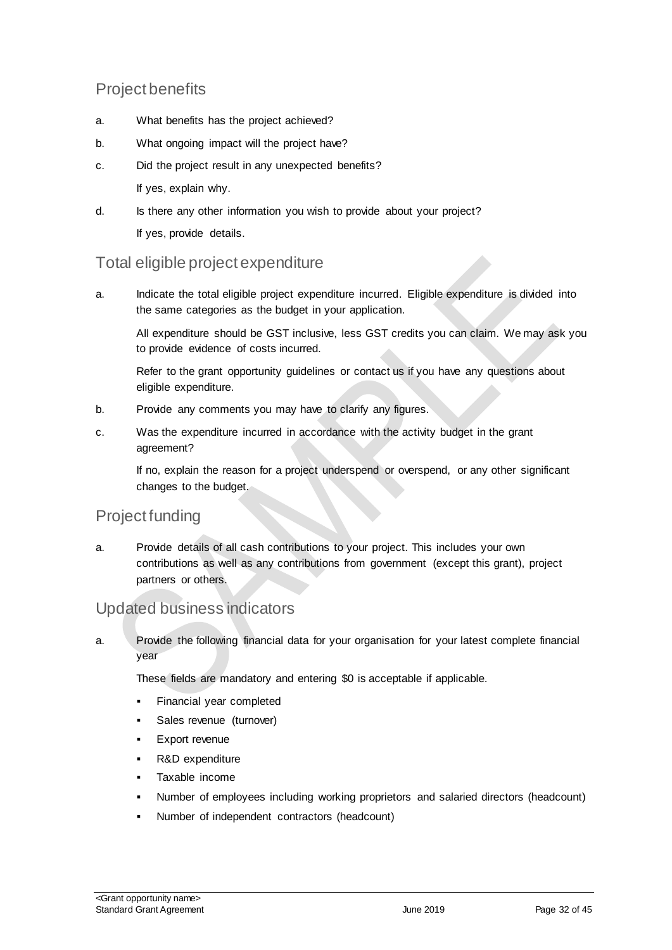# Project benefits

- a. What benefits has the project achieved?
- b. What ongoing impact will the project have?
- c. Did the project result in any unexpected benefits? If yes, explain why.
- d. Is there any other information you wish to provide about your project? If yes, provide details.

### Total eligible project expenditure

a. Indicate the total eligible project expenditure incurred. Eligible expenditure is divided into the same categories as the budget in your application.

All expenditure should be GST inclusive, less GST credits you can claim. We may ask you to provide evidence of costs incurred.

Refer to the grant opportunity guidelines or contact us if you have any questions about eligible expenditure.

- b. Provide any comments you may have to clarify any figures.
- c. Was the expenditure incurred in accordance with the activity budget in the grant agreement?

If no, explain the reason for a project underspend or overspend, or any other significant changes to the budget.

# Project funding

a. Provide details of all cash contributions to your project. This includes your own contributions as well as any contributions from government (except this grant), project partners or others.

### Updated business indicators

a. Provide the following financial data for your organisation for your latest complete financial year

These fields are mandatory and entering \$0 is acceptable if applicable.

- Financial year completed
- Sales revenue (turnover)
- **Export revenue**
- R&D expenditure
- Taxable income
- Number of employees including working proprietors and salaried directors (headcount)
- Number of independent contractors (headcount)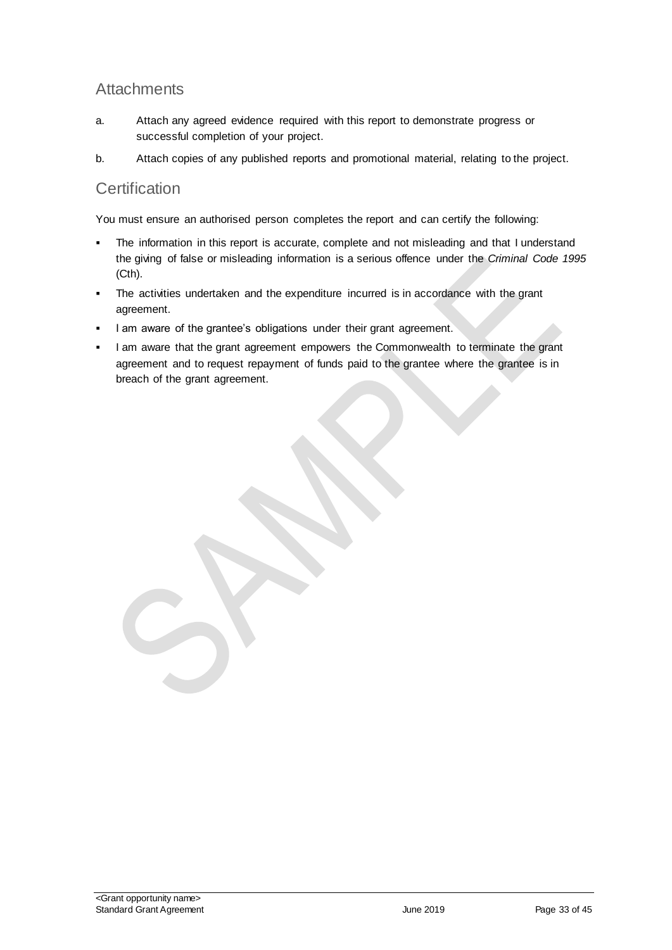## **Attachments**

- a. Attach any agreed evidence required with this report to demonstrate progress or successful completion of your project.
- b. Attach copies of any published reports and promotional material, relating to the project.

### **Certification**

You must ensure an authorised person completes the report and can certify the following:

- The information in this report is accurate, complete and not misleading and that I understand the giving of false or misleading information is a serious offence under the *Criminal Code 1995* (Cth).
- The activities undertaken and the expenditure incurred is in accordance with the grant agreement.
- I am aware of the grantee's obligations under their grant agreement.
- I am aware that the grant agreement empowers the Commonwealth to terminate the grant agreement and to request repayment of funds paid to the grantee where the grantee is in breach of the grant agreement.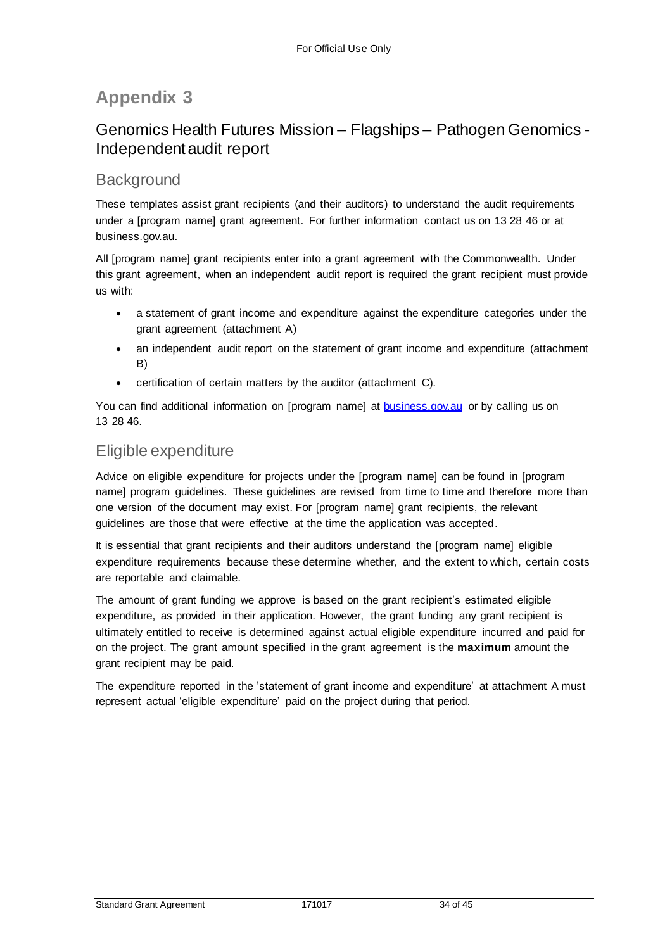# **Appendix 3**

# Genomics Health Futures Mission – Flagships – Pathogen Genomics - Independent audit report

# **Background**

These templates assist grant recipients (and their auditors) to understand the audit requirements under a [program name] grant agreement. For further information contact us on 13 28 46 or at business.gov.au.

All [program name] grant recipients enter into a grant agreement with the Commonwealth. Under this grant agreement, when an independent audit report is required the grant recipient must provide us with:

- a statement of grant income and expenditure against the expenditure categories under the grant agreement (attachment A)
- an independent audit report on the statement of grant income and expenditure (attachment B)
- certification of certain matters by the auditor (attachment C).

You can find additional information on [program name] at [business.gov.au](http://www.business.gov.au/Pages/default.aspx) or by calling us on 13 28 46.

#### Eligible expenditure

Advice on eligible expenditure for projects under the [program name] can be found in [program name] program guidelines. These guidelines are revised from time to time and therefore more than one version of the document may exist. For [program name] grant recipients, the relevant guidelines are those that were effective at the time the application was accepted.

It is essential that grant recipients and their auditors understand the [program name] eligible expenditure requirements because these determine whether, and the extent to which, certain costs are reportable and claimable.

The amount of grant funding we approve is based on the grant recipient's estimated eligible expenditure, as provided in their application. However, the grant funding any grant recipient is ultimately entitled to receive is determined against actual eligible expenditure incurred and paid for on the project. The grant amount specified in the grant agreement is the **maximum** amount the grant recipient may be paid.

The expenditure reported in the 'statement of grant income and expenditure' at attachment A must represent actual 'eligible expenditure' paid on the project during that period.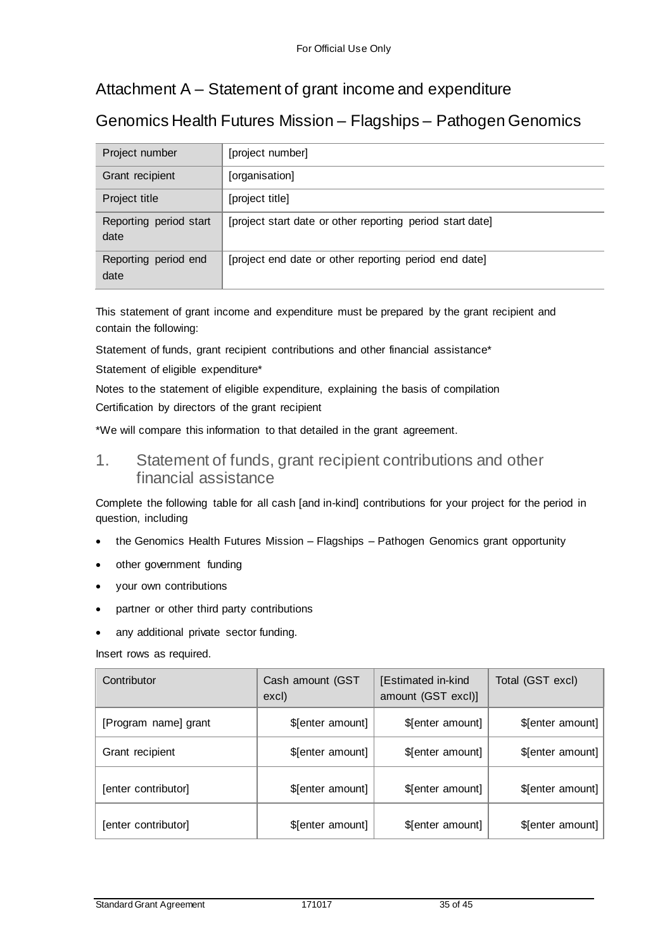# Attachment A – Statement of grant income and expenditure

# Genomics Health Futures Mission – Flagships – Pathogen Genomics

| Project number                 | [project number]                                          |
|--------------------------------|-----------------------------------------------------------|
| Grant recipient                | [organisation]                                            |
| Project title                  | [project title]                                           |
| Reporting period start<br>date | [project start date or other reporting period start date] |
| Reporting period end<br>date   | [project end date or other reporting period end date]     |

This statement of grant income and expenditure must be prepared by the grant recipient and contain the following:

Statement of funds, grant recipient contributions and other financial assistance\*

Statement of eligible expenditure\*

Notes to the statement of eligible expenditure, explaining the basis of compilation

Certification by directors of the grant recipient

\*We will compare this information to that detailed in the grant agreement.

1. Statement of funds, grant recipient contributions and other financial assistance

Complete the following table for all cash [and in-kind] contributions for your project for the period in question, including

- the Genomics Health Futures Mission Flagships Pathogen Genomics grant opportunity
- other government funding
- your own contributions
- partner or other third party contributions
- any additional private sector funding.

Insert rows as required.

| Contributor          | Cash amount (GST<br>excl) | [Estimated in-kind<br>amount (GST excl)] | Total (GST excl) |
|----------------------|---------------------------|------------------------------------------|------------------|
| [Program name] grant | \$[enter amount]          | \$[enter amount]                         | \$[enter amount] |
| Grant recipient      | \$[enter amount]          | \$[enter amount]                         | \$[enter amount] |
| [enter contributor]  | \$[enter amount]          | \$[enter amount]                         | \$[enter amount] |
| [enter contributor]  | \$[enter amount]          | \$[enter amount]                         | \$[enter amount] |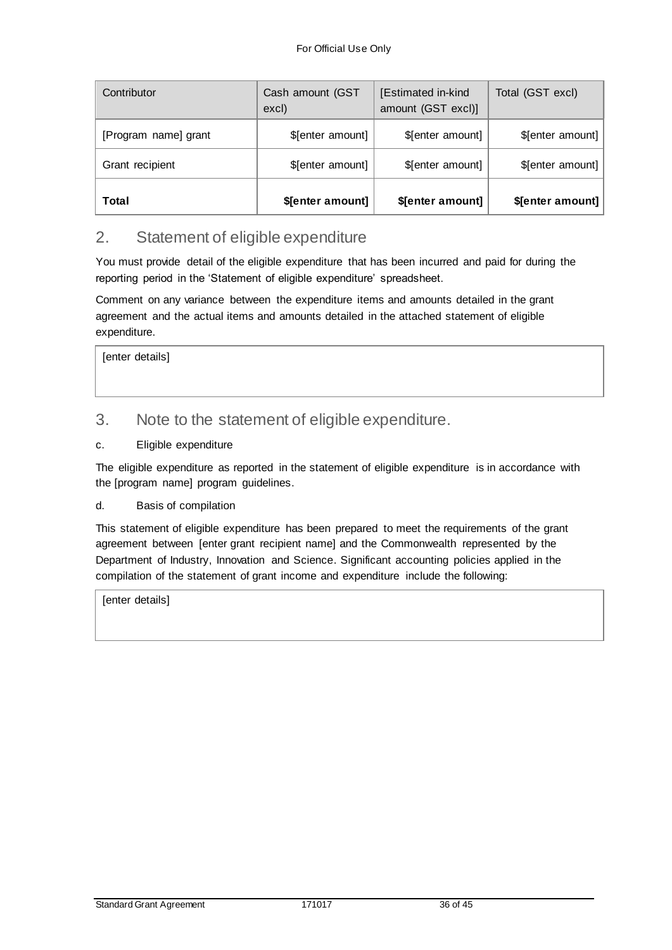| Contributor          | Cash amount (GST<br>excl) | [Estimated in-kind<br>amount (GST excl)] | Total (GST excl) |
|----------------------|---------------------------|------------------------------------------|------------------|
| [Program name] grant | \$[enter amount]          | \$[enter amount]                         | \$[enter amount] |
| Grant recipient      | \$[enter amount]          | \$[enter amount]                         | \$[enter amount] |
| Total                | \$[enter amount]          | \$[enter amount]                         | \$[enter amount] |

### 2. Statement of eligible expenditure

You must provide detail of the eligible expenditure that has been incurred and paid for during the reporting period in the 'Statement of eligible expenditure' spreadsheet.

Comment on any variance between the expenditure items and amounts detailed in the grant agreement and the actual items and amounts detailed in the attached statement of eligible expenditure.

[enter details]

#### 3. Note to the statement of eligible expenditure.

#### c. Eligible expenditure

The eligible expenditure as reported in the statement of eligible expenditure is in accordance with the [program name] program guidelines.

#### d. Basis of compilation

This statement of eligible expenditure has been prepared to meet the requirements of the grant agreement between [enter grant recipient name] and the Commonwealth represented by the Department of Industry, Innovation and Science. Significant accounting policies applied in the compilation of the statement of grant income and expenditure include the following:

[enter details]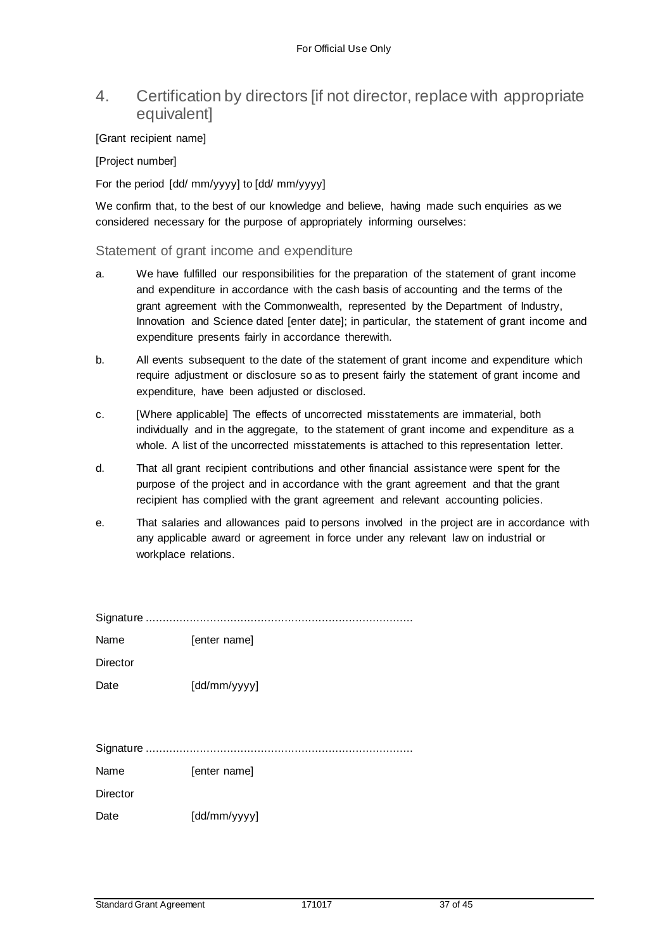### 4. Certification by directors [if not director, replace with appropriate equivalent]

#### [Grant recipient name]

[Project number]

For the period [dd/ mm/yyyy] to [dd/ mm/yyyy]

We confirm that, to the best of our knowledge and believe, having made such enquiries as we considered necessary for the purpose of appropriately informing ourselves:

#### Statement of grant income and expenditure

- a. We have fulfilled our responsibilities for the preparation of the statement of grant income and expenditure in accordance with the cash basis of accounting and the terms of the grant agreement with the Commonwealth, represented by the Department of Industry, Innovation and Science dated [enter date]; in particular, the statement of grant income and expenditure presents fairly in accordance therewith.
- b. All events subsequent to the date of the statement of grant income and expenditure which require adjustment or disclosure so as to present fairly the statement of grant income and expenditure, have been adjusted or disclosed.
- c. [Where applicable] The effects of uncorrected misstatements are immaterial, both individually and in the aggregate, to the statement of grant income and expenditure as a whole. A list of the uncorrected misstatements is attached to this representation letter.
- d. That all grant recipient contributions and other financial assistance were spent for the purpose of the project and in accordance with the grant agreement and that the grant recipient has complied with the grant agreement and relevant accounting policies.
- e. That salaries and allowances paid to persons involved in the project are in accordance with any applicable award or agreement in force under any relevant law on industrial or workplace relations.

| Name     | [enter name] |
|----------|--------------|
| Director |              |
| Date     | [dd/mm/yyyy] |
|          |              |

Signature ...............................................................................

Name [enter name]

**Director** 

Date [dd/mm/yyyy]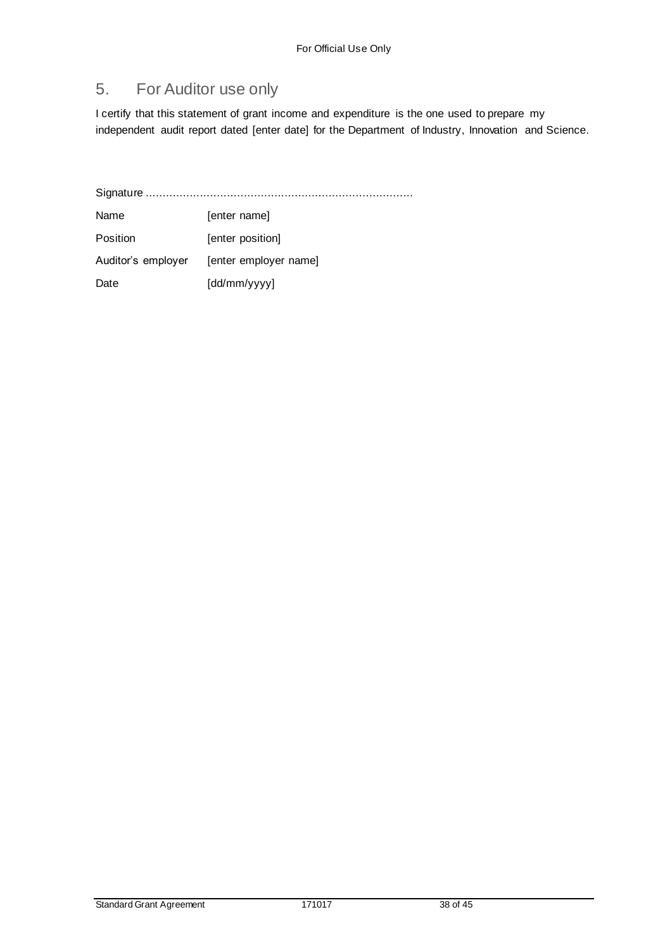# 5. For Auditor use only

I certify that this statement of grant income and expenditure is the one used to prepare my independent audit report dated [enter date] for the Department of Industry, Innovation and Science.

Signature ...............................................................................

Name [enter name] Position [enter position] Auditor's employer [enter employer name] Date [dd/mm/yyyy]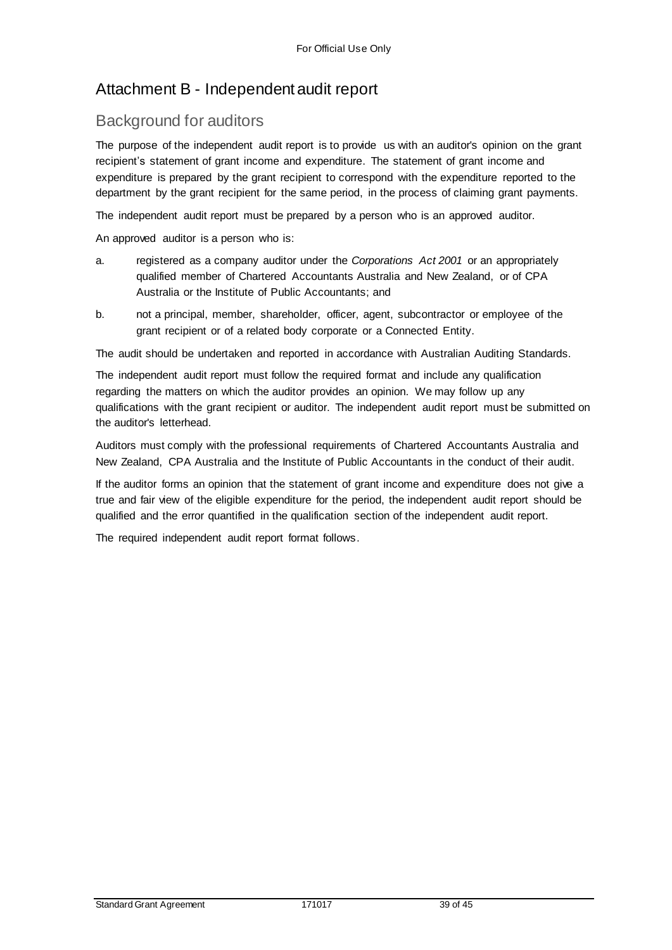# Attachment B - Independent audit report

## Background for auditors

The purpose of the independent audit report is to provide us with an auditor's opinion on the grant recipient's statement of grant income and expenditure. The statement of grant income and expenditure is prepared by the grant recipient to correspond with the expenditure reported to the department by the grant recipient for the same period, in the process of claiming grant payments.

The independent audit report must be prepared by a person who is an approved auditor.

An approved auditor is a person who is:

- a. registered as a company auditor under the *Corporations Act 2001* or an appropriately qualified member of Chartered Accountants Australia and New Zealand, or of CPA Australia or the Institute of Public Accountants; and
- b. not a principal, member, shareholder, officer, agent, subcontractor or employee of the grant recipient or of a related body corporate or a Connected Entity.

The audit should be undertaken and reported in accordance with Australian Auditing Standards.

The independent audit report must follow the required format and include any qualification regarding the matters on which the auditor provides an opinion. We may follow up any qualifications with the grant recipient or auditor. The independent audit report must be submitted on the auditor's letterhead.

Auditors must comply with the professional requirements of Chartered Accountants Australia and New Zealand, CPA Australia and the Institute of Public Accountants in the conduct of their audit.

If the auditor forms an opinion that the statement of grant income and expenditure does not give a true and fair view of the eligible expenditure for the period, the independent audit report should be qualified and the error quantified in the qualification section of the independent audit report.

The required independent audit report format follows.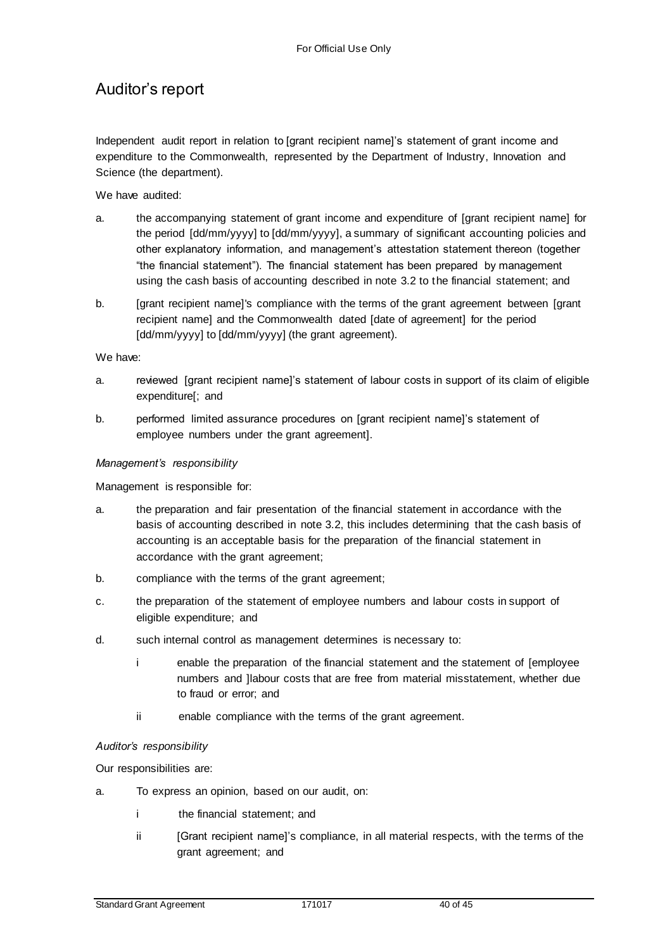# Auditor's report

Independent audit report in relation to [grant recipient name]'s statement of grant income and expenditure to the Commonwealth, represented by the Department of Industry, Innovation and Science (the department).

#### We have audited:

- a. the accompanying statement of grant income and expenditure of [grant recipient name] for the period [dd/mm/yyyy] to [dd/mm/yyyy], a summary of significant accounting policies and other explanatory information, and management's attestation statement thereon (together "the financial statement"). The financial statement has been prepared by management using the cash basis of accounting described in note 3.2 to the financial statement; and
- b. [grant recipient name]'s compliance with the terms of the grant agreement between [grant recipient name] and the Commonwealth dated [date of agreement] for the period [dd/mm/yyyy] to [dd/mm/yyyy] (the grant agreement).

#### We have:

- a. reviewed [grant recipient name]'s statement of labour costs in support of its claim of eligible expenditure[; and
- b. performed limited assurance procedures on [grant recipient name]'s statement of employee numbers under the grant agreement].

#### *Management's responsibility*

Management is responsible for:

- a. the preparation and fair presentation of the financial statement in accordance with the basis of accounting described in note 3.2, this includes determining that the cash basis of accounting is an acceptable basis for the preparation of the financial statement in accordance with the grant agreement;
- b. compliance with the terms of the grant agreement;
- c. the preparation of the statement of employee numbers and labour costs in support of eligible expenditure; and
- d. such internal control as management determines is necessary to:
	- i enable the preparation of the financial statement and the statement of [employee numbers and ]labour costs that are free from material misstatement, whether due to fraud or error; and
	- ii enable compliance with the terms of the grant agreement.

#### *Auditor's responsibility*

Our responsibilities are:

- a. To express an opinion, based on our audit, on:
	- i the financial statement; and
	- ii [Grant recipient name]'s compliance, in all material respects, with the terms of the grant agreement; and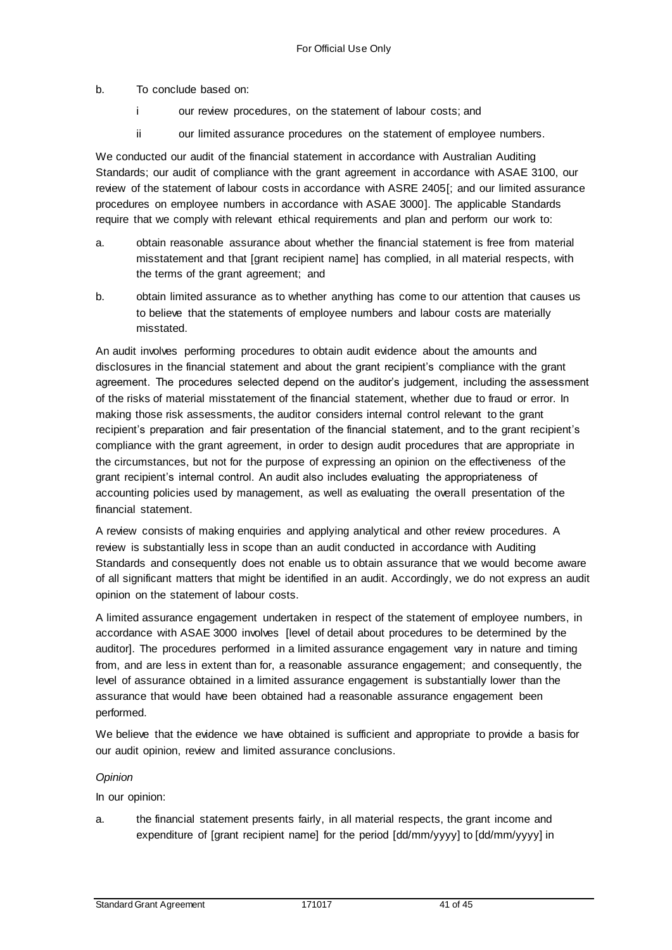b. To conclude based on:

- i our review procedures, on the statement of labour costs; and
- ii our limited assurance procedures on the statement of employee numbers.

We conducted our audit of the financial statement in accordance with Australian Auditing Standards; our audit of compliance with the grant agreement in accordance with ASAE 3100, our review of the statement of labour costs in accordance with ASRE 2405[; and our limited assurance procedures on employee numbers in accordance with ASAE 3000]. The applicable Standards require that we comply with relevant ethical requirements and plan and perform our work to:

- a. obtain reasonable assurance about whether the financial statement is free from material misstatement and that [grant recipient name] has complied, in all material respects, with the terms of the grant agreement; and
- b. obtain limited assurance as to whether anything has come to our attention that causes us to believe that the statements of employee numbers and labour costs are materially misstated.

An audit involves performing procedures to obtain audit evidence about the amounts and disclosures in the financial statement and about the grant recipient's compliance with the grant agreement. The procedures selected depend on the auditor's judgement, including the assessment of the risks of material misstatement of the financial statement, whether due to fraud or error. In making those risk assessments, the auditor considers internal control relevant to the grant recipient's preparation and fair presentation of the financial statement, and to the grant recipient's compliance with the grant agreement, in order to design audit procedures that are appropriate in the circumstances, but not for the purpose of expressing an opinion on the effectiveness of the grant recipient's internal control. An audit also includes evaluating the appropriateness of accounting policies used by management, as well as evaluating the overall presentation of the financial statement.

A review consists of making enquiries and applying analytical and other review procedures. A review is substantially less in scope than an audit conducted in accordance with Auditing Standards and consequently does not enable us to obtain assurance that we would become aware of all significant matters that might be identified in an audit. Accordingly, we do not express an audit opinion on the statement of labour costs.

A limited assurance engagement undertaken in respect of the statement of employee numbers, in accordance with ASAE 3000 involves [level of detail about procedures to be determined by the auditor]. The procedures performed in a limited assurance engagement vary in nature and timing from, and are less in extent than for, a reasonable assurance engagement; and consequently, the level of assurance obtained in a limited assurance engagement is substantially lower than the assurance that would have been obtained had a reasonable assurance engagement been performed.

We believe that the evidence we have obtained is sufficient and appropriate to provide a basis for our audit opinion, review and limited assurance conclusions.

#### *Opinion*

In our opinion:

a. the financial statement presents fairly, in all material respects, the grant income and expenditure of [grant recipient name] for the period [dd/mm/yyyy] to [dd/mm/yyyy] in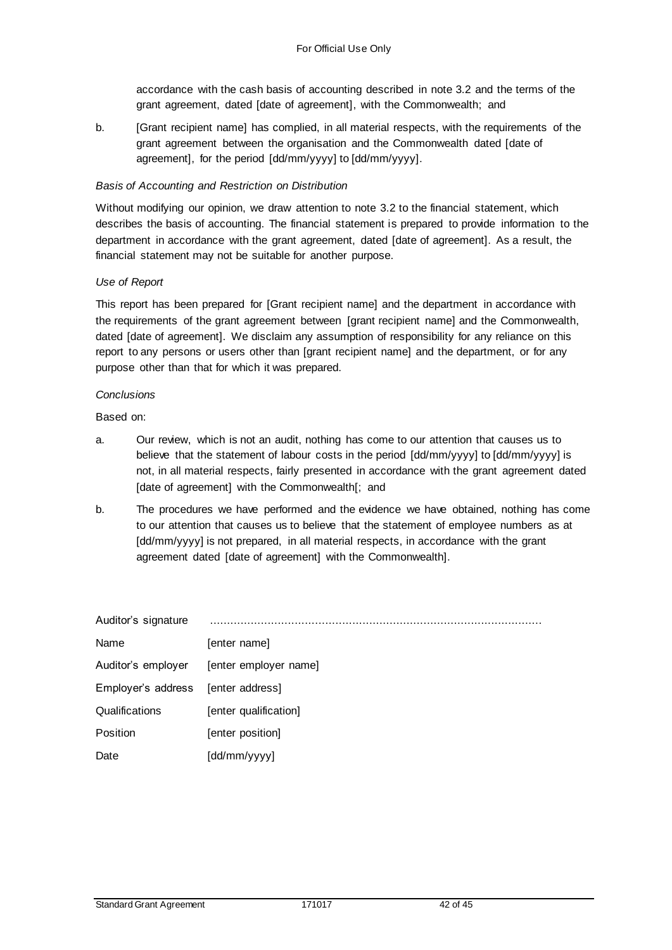accordance with the cash basis of accounting described in note 3.2 and the terms of the grant agreement, dated [date of agreement], with the Commonwealth; and

b. [Grant recipient name] has complied, in all material respects, with the requirements of the grant agreement between the organisation and the Commonwealth dated [date of agreement], for the period [dd/mm/yyyy] to [dd/mm/yyyy].

#### *Basis of Accounting and Restriction on Distribution*

Without modifying our opinion, we draw attention to note 3.2 to the financial statement, which describes the basis of accounting. The financial statement is prepared to provide information to the department in accordance with the grant agreement, dated [date of agreement]. As a result, the financial statement may not be suitable for another purpose.

#### *Use of Report*

This report has been prepared for [Grant recipient name] and the department in accordance with the requirements of the grant agreement between [grant recipient name] and the Commonwealth, dated [date of agreement]. We disclaim any assumption of responsibility for any reliance on this report to any persons or users other than [grant recipient name] and the department, or for any purpose other than that for which it was prepared.

#### *Conclusions*

Based on:

- a. Our review, which is not an audit, nothing has come to our attention that causes us to believe that the statement of labour costs in the period [dd/mm/yyyy] to [dd/mm/yyyy] is not, in all material respects, fairly presented in accordance with the grant agreement dated [date of agreement] with the Commonwealth[; and
- b. The procedures we have performed and the evidence we have obtained, nothing has come to our attention that causes us to believe that the statement of employee numbers as at [dd/mm/yyyy] is not prepared, in all material respects, in accordance with the grant agreement dated [date of agreement] with the Commonwealth].

| Auditor's signature |                       |
|---------------------|-----------------------|
| Name                | [enter name]          |
| Auditor's employer  | [enter employer name] |
| Employer's address  | [enter address]       |
| Qualifications      | [enter qualification] |
| Position            | [enter position]      |
| Date                | [dd/mm/yyyy]          |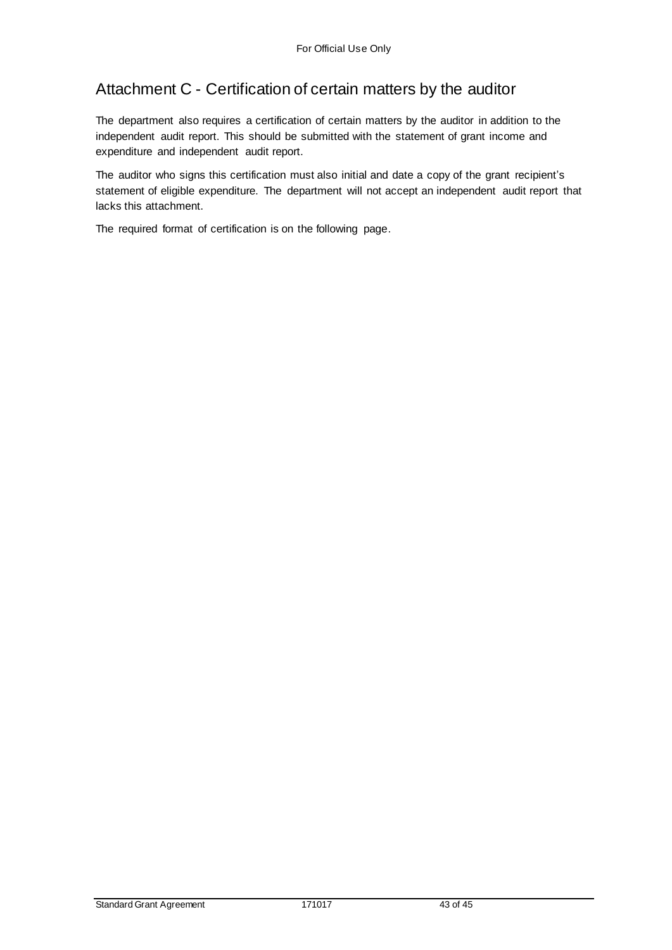# Attachment C - Certification of certain matters by the auditor

The department also requires a certification of certain matters by the auditor in addition to the independent audit report. This should be submitted with the statement of grant income and expenditure and independent audit report.

The auditor who signs this certification must also initial and date a copy of the grant recipient's statement of eligible expenditure. The department will not accept an independent audit report that lacks this attachment.

The required format of certification is on the following page.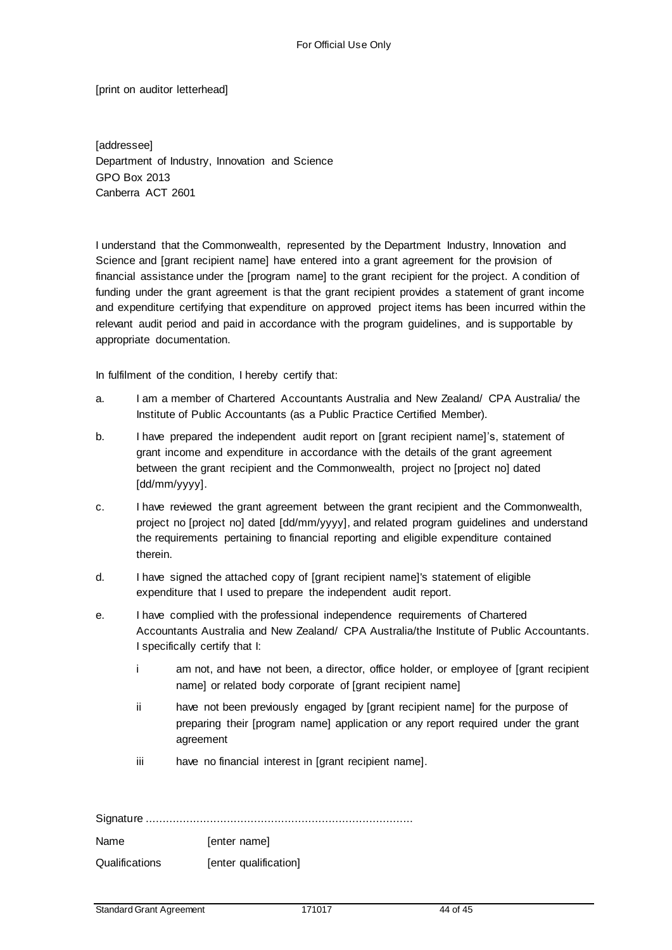[print on auditor letterhead]

[addressee] Department of Industry, Innovation and Science GPO Box 2013 Canberra ACT 2601

I understand that the Commonwealth, represented by the Department Industry, Innovation and Science and [grant recipient name] have entered into a grant agreement for the provision of financial assistance under the [program name] to the grant recipient for the project. A condition of funding under the grant agreement is that the grant recipient provides a statement of grant income and expenditure certifying that expenditure on approved project items has been incurred within the relevant audit period and paid in accordance with the program guidelines, and is supportable by appropriate documentation.

In fulfilment of the condition, I hereby certify that:

- a. I am a member of Chartered Accountants Australia and New Zealand/ CPA Australia/ the Institute of Public Accountants (as a Public Practice Certified Member).
- b. I have prepared the independent audit report on [grant recipient name]'s, statement of grant income and expenditure in accordance with the details of the grant agreement between the grant recipient and the Commonwealth, project no [project no] dated [dd/mm/yyyy].
- c. I have reviewed the grant agreement between the grant recipient and the Commonwealth, project no [project no] dated [dd/mm/yyyy], and related program guidelines and understand the requirements pertaining to financial reporting and eligible expenditure contained therein.
- d. I have signed the attached copy of [grant recipient name]'s statement of eligible expenditure that I used to prepare the independent audit report.
- e. I have complied with the professional independence requirements of Chartered Accountants Australia and New Zealand/ CPA Australia/the Institute of Public Accountants. I specifically certify that I:
	- i am not, and have not been, a director, office holder, or employee of [grant recipient name] or related body corporate of [grant recipient name]
	- ii have not been previously engaged by [grant recipient name] for the purpose of preparing their [program name] application or any report required under the grant agreement
	- iii have no financial interest in [grant recipient name].

Signature ............................................................................... Name [enter name] Qualifications [enter qualification]